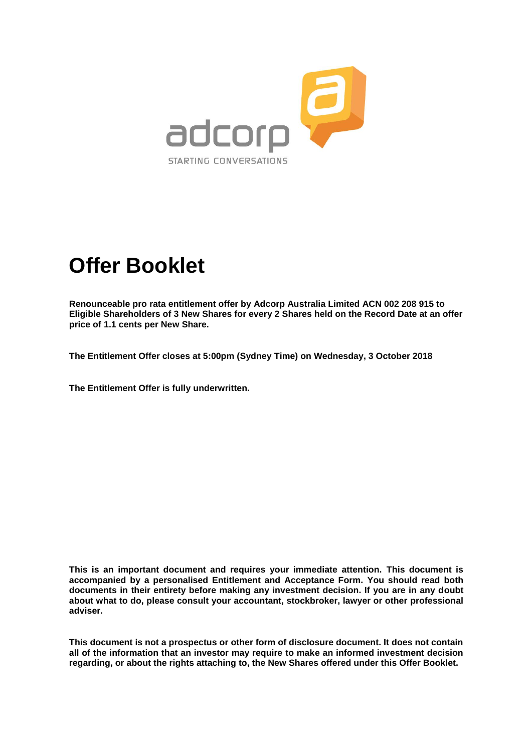

# **Offer Booklet**

**Renounceable pro rata entitlement offer by Adcorp Australia Limited ACN 002 208 915 to Eligible Shareholders of 3 New Shares for every 2 Shares held on the Record Date at an offer price of 1.1 cents per New Share.**

**The Entitlement Offer closes at 5:00pm (Sydney Time) on Wednesday, 3 October 2018**

**The Entitlement Offer is fully underwritten.**

**This is an important document and requires your immediate attention. This document is accompanied by a personalised Entitlement and Acceptance Form. You should read both documents in their entirety before making any investment decision. If you are in any doubt about what to do, please consult your accountant, stockbroker, lawyer or other professional adviser.**

**This document is not a prospectus or other form of disclosure document. It does not contain all of the information that an investor may require to make an informed investment decision regarding, or about the rights attaching to, the New Shares offered under this Offer Booklet.**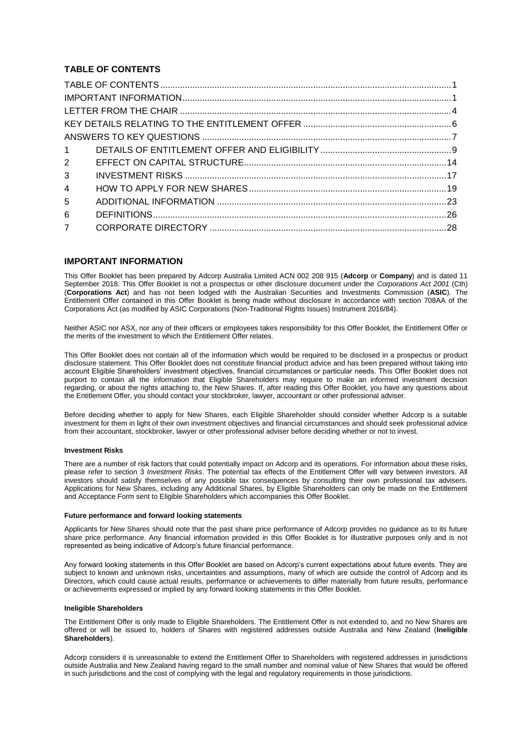# **TABLE OF CONTENTS**

| 3 <sup>1</sup> |  |
|----------------|--|
| 4              |  |
| 5              |  |
| 6              |  |
| 7 <sup>7</sup> |  |

#### **IMPORTANT INFORMATION**

This Offer Booklet has been prepared by Adcorp Australia Limited ACN 002 208 915 (**Adcorp** or **Company**) and is dated 11 September 2018. This Offer Booklet is not a prospectus or other disclosure document under the *Corporations Act 2001* (Cth) (**Corporations Act**) and has not been lodged with the Australian Securities and Investments Commission (**ASIC**). The Entitlement Offer contained in this Offer Booklet is being made without disclosure in accordance with section 708AA of the Corporations Act (as modified by ASIC Corporations (Non-Traditional Rights Issues) Instrument 2016/84).

Neither ASIC nor ASX, nor any of their officers or employees takes responsibility for this Offer Booklet, the Entitlement Offer or the merits of the investment to which the Entitlement Offer relates.

This Offer Booklet does not contain all of the information which would be required to be disclosed in a prospectus or product disclosure statement. This Offer Booklet does not constitute financial product advice and has been prepared without taking into account Eligible Shareholders' investment objectives, financial circumstances or particular needs. This Offer Booklet does not purport to contain all the information that Eligible Shareholders may require to make an informed investment decision regarding, or about the rights attaching to, the New Shares. If, after reading this Offer Booklet, you have any questions about the Entitlement Offer, you should contact your stockbroker, lawyer, accountant or other professional adviser.

Before deciding whether to apply for New Shares, each Eligible Shareholder should consider whether Adcorp is a suitable investment for them in light of their own investment objectives and financial circumstances and should seek professional advice from their accountant, stockbroker, lawyer or other professional adviser before deciding whether or not to invest.

#### **Investment Risks**

There are a number of risk factors that could potentially impact on Adcorp and its operations. For information about these risks, please refer to section [3](#page-17-0) *Investment Risks*. The potential tax effects of the Entitlement Offer will vary between investors. All investors should satisfy themselves of any possible tax consequences by consulting their own professional tax advisers. Applications for New Shares, including any Additional Shares, by Eligible Shareholders can only be made on the Entitlement and Acceptance Form sent to Eligible Shareholders which accompanies this Offer Booklet.

#### **Future performance and forward looking statements**

Applicants for New Shares should note that the past share price performance of Adcorp provides no guidance as to its future share price performance. Any financial information provided in this Offer Booklet is for illustrative purposes only and is not represented as being indicative of Adcorp's future financial performance.

Any forward looking statements in this Offer Booklet are based on Adcorp's current expectations about future events. They are subject to known and unknown risks, uncertainties and assumptions, many of which are outside the control of Adcorp and its Directors, which could cause actual results, performance or achievements to differ materially from future results, performance or achievements expressed or implied by any forward looking statements in this Offer Booklet.

#### **Ineligible Shareholders**

The Entitlement Offer is only made to Eligible Shareholders. The Entitlement Offer is not extended to, and no New Shares are offered or will be issued to, holders of Shares with registered addresses outside Australia and New Zealand (**Ineligible Shareholders**).

Adcorp considers it is unreasonable to extend the Entitlement Offer to Shareholders with registered addresses in jurisdictions outside Australia and New Zealand having regard to the small number and nominal value of New Shares that would be offered in such jurisdictions and the cost of complying with the legal and regulatory requirements in those jurisdictions.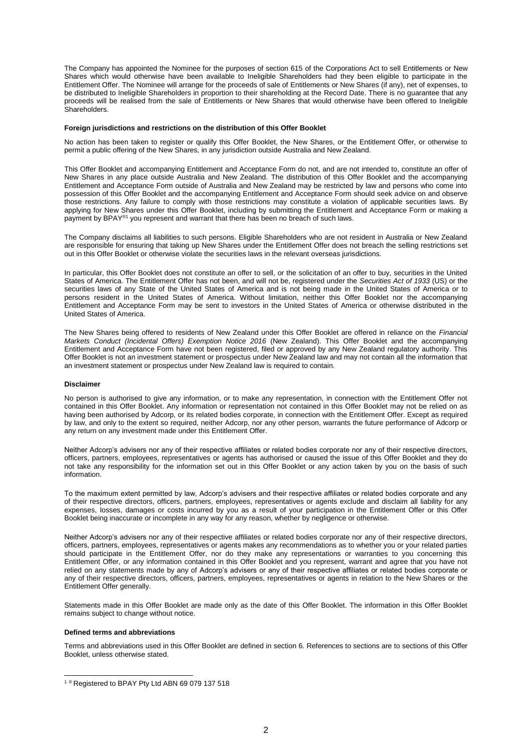The Company has appointed the Nominee for the purposes of section 615 of the Corporations Act to sell Entitlements or New Shares which would otherwise have been available to Ineligible Shareholders had they been eligible to participate in the Entitlement Offer. The Nominee will arrange for the proceeds of sale of Entitlements or New Shares (if any), net of expenses, to be distributed to Ineligible Shareholders in proportion to their shareholding at the Record Date. There is no guarantee that any proceeds will be realised from the sale of Entitlements or New Shares that would otherwise have been offered to Ineligible **Shareholders** 

#### **Foreign jurisdictions and restrictions on the distribution of this Offer Booklet**

No action has been taken to register or qualify this Offer Booklet, the New Shares, or the Entitlement Offer, or otherwise to permit a public offering of the New Shares, in any jurisdiction outside Australia and New Zealand.

This Offer Booklet and accompanying Entitlement and Acceptance Form do not, and are not intended to, constitute an offer of New Shares in any place outside Australia and New Zealand. The distribution of this Offer Booklet and the accompanying Entitlement and Acceptance Form outside of Australia and New Zealand may be restricted by law and persons who come into possession of this Offer Booklet and the accompanying Entitlement and Acceptance Form should seek advice on and observe those restrictions. Any failure to comply with those restrictions may constitute a violation of applicable securities laws. By applying for New Shares under this Offer Booklet, including by submitting the Entitlement and Acceptance Form or making a payment by BPAY®1 you represent and warrant that there has been no breach of such laws.

The Company disclaims all liabilities to such persons. Eligible Shareholders who are not resident in Australia or New Zealand are responsible for ensuring that taking up New Shares under the Entitlement Offer does not breach the selling restrictions set out in this Offer Booklet or otherwise violate the securities laws in the relevant overseas jurisdictions.

In particular, this Offer Booklet does not constitute an offer to sell, or the solicitation of an offer to buy, securities in the United States of America. The Entitlement Offer has not been, and will not be, registered under the *Securities Act of 1933* (US) or the securities laws of any State of the United States of America and is not being made in the United States of America or to persons resident in the United States of America. Without limitation, neither this Offer Booklet nor the accompanying Entitlement and Acceptance Form may be sent to investors in the United States of America or otherwise distributed in the United States of America.

The New Shares being offered to residents of New Zealand under this Offer Booklet are offered in reliance on the *Financial Markets Conduct (Incidental Offers) Exemption Notice 2016* (New Zealand). This Offer Booklet and the accompanying Entitlement and Acceptance Form have not been registered, filed or approved by any New Zealand regulatory authority. This Offer Booklet is not an investment statement or prospectus under New Zealand law and may not contain all the information that an investment statement or prospectus under New Zealand law is required to contain.

#### **Disclaimer**

No person is authorised to give any information, or to make any representation, in connection with the Entitlement Offer not contained in this Offer Booklet. Any information or representation not contained in this Offer Booklet may not be relied on as having been authorised by Adcorp, or its related bodies corporate, in connection with the Entitlement Offer. Except as required by law, and only to the extent so required, neither Adcorp, nor any other person, warrants the future performance of Adcorp or any return on any investment made under this Entitlement Offer.

Neither Adcorp's advisers nor any of their respective affiliates or related bodies corporate nor any of their respective directors, officers, partners, employees, representatives or agents has authorised or caused the issue of this Offer Booklet and they do not take any responsibility for the information set out in this Offer Booklet or any action taken by you on the basis of such information.

To the maximum extent permitted by law, Adcorp's advisers and their respective affiliates or related bodies corporate and any of their respective directors, officers, partners, employees, representatives or agents exclude and disclaim all liability for any expenses, losses, damages or costs incurred by you as a result of your participation in the Entitlement Offer or this Offer Booklet being inaccurate or incomplete in any way for any reason, whether by negligence or otherwise.

Neither Adcorp's advisers nor any of their respective affiliates or related bodies corporate nor any of their respective directors, officers, partners, employees, representatives or agents makes any recommendations as to whether you or your related parties should participate in the Entitlement Offer, nor do they make any representations or warranties to you concerning this Entitlement Offer, or any information contained in this Offer Booklet and you represent, warrant and agree that you have not relied on any statements made by any of Adcorp's advisers or any of their respective affiliates or related bodies corporate or any of their respective directors, officers, partners, employees, representatives or agents in relation to the New Shares or the Entitlement Offer generally.

Statements made in this Offer Booklet are made only as the date of this Offer Booklet. The information in this Offer Booklet remains subject to change without notice.

#### **Defined terms and abbreviations**

-

Terms and abbreviations used in this Offer Booklet are defined in section [6.](#page-26-0) References to sections are to sections of this Offer Booklet, unless otherwise stated.

<sup>&</sup>lt;sup>1 ®</sup> Registered to BPAY Pty Ltd ABN 69 079 137 518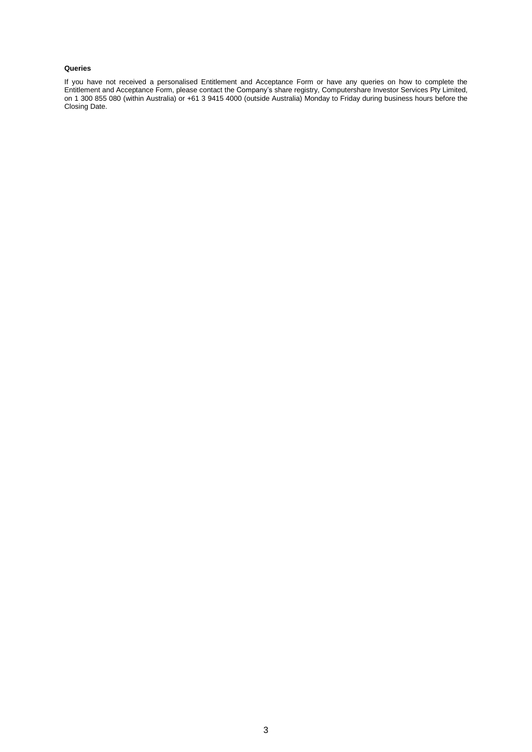#### **Queries**

If you have not received a personalised Entitlement and Acceptance Form or have any queries on how to complete the Entitlement and Acceptance Form, please contact the Company's share registry, Computershare Investor Services Pty Limited, on 1 300 855 080 (within Australia) or +61 3 9415 4000 (outside Australia) Monday to Friday during business hours before the Closing Date.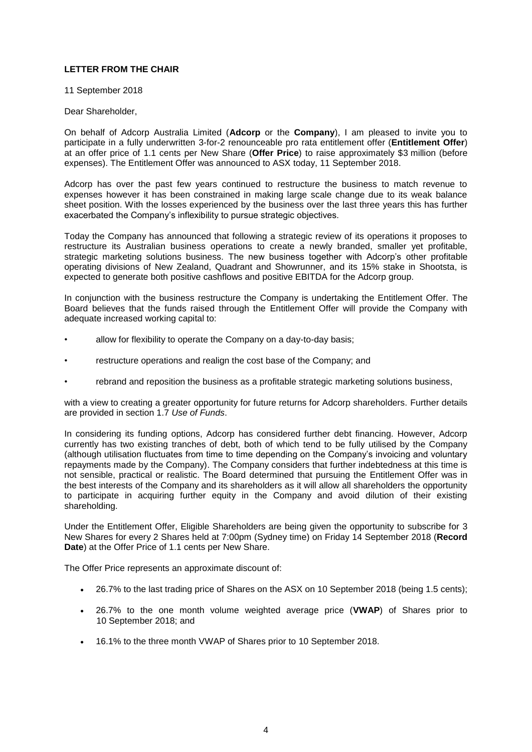# **LETTER FROM THE CHAIR**

11 September 2018

# Dear Shareholder,

On behalf of Adcorp Australia Limited (**Adcorp** or the **Company**), I am pleased to invite you to participate in a fully underwritten 3-for-2 renounceable pro rata entitlement offer (**Entitlement Offer**) at an offer price of 1.1 cents per New Share (**Offer Price**) to raise approximately \$3 million (before expenses). The Entitlement Offer was announced to ASX today, 11 September 2018.

Adcorp has over the past few years continued to restructure the business to match revenue to expenses however it has been constrained in making large scale change due to its weak balance sheet position. With the losses experienced by the business over the last three years this has further exacerbated the Company's inflexibility to pursue strategic objectives.

Today the Company has announced that following a strategic review of its operations it proposes to restructure its Australian business operations to create a newly branded, smaller yet profitable, strategic marketing solutions business. The new business together with Adcorp's other profitable operating divisions of New Zealand, Quadrant and Showrunner, and its 15% stake in Shootsta, is expected to generate both positive cashflows and positive EBITDA for the Adcorp group.

In conjunction with the business restructure the Company is undertaking the Entitlement Offer. The Board believes that the funds raised through the Entitlement Offer will provide the Company with adequate increased working capital to:

- allow for flexibility to operate the Company on a day-to-day basis;
- restructure operations and realign the cost base of the Company; and
- rebrand and reposition the business as a profitable strategic marketing solutions business,

with a view to creating a greater opportunity for future returns for Adcorp shareholders. Further details are provided in section [1.7](#page-11-0) *Use of Funds*.

In considering its funding options, Adcorp has considered further debt financing. However, Adcorp currently has two existing tranches of debt, both of which tend to be fully utilised by the Company (although utilisation fluctuates from time to time depending on the Company's invoicing and voluntary repayments made by the Company). The Company considers that further indebtedness at this time is not sensible, practical or realistic. The Board determined that pursuing the Entitlement Offer was in the best interests of the Company and its shareholders as it will allow all shareholders the opportunity to participate in acquiring further equity in the Company and avoid dilution of their existing shareholding.

Under the Entitlement Offer, Eligible Shareholders are being given the opportunity to subscribe for 3 New Shares for every 2 Shares held at 7:00pm (Sydney time) on Friday 14 September 2018 (**Record Date**) at the Offer Price of 1.1 cents per New Share.

The Offer Price represents an approximate discount of:

- 26.7% to the last trading price of Shares on the ASX on 10 September 2018 (being 1.5 cents);
- 26.7% to the one month volume weighted average price (**VWAP**) of Shares prior to 10 September 2018; and
- 16.1% to the three month VWAP of Shares prior to 10 September 2018.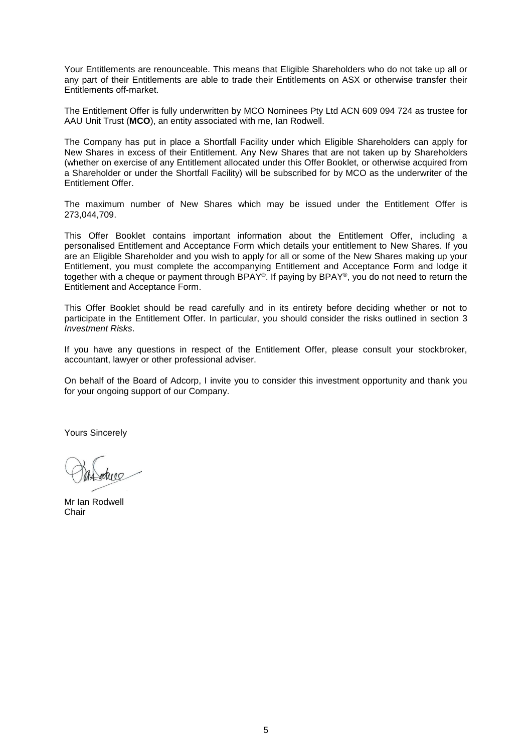Your Entitlements are renounceable. This means that Eligible Shareholders who do not take up all or any part of their Entitlements are able to trade their Entitlements on ASX or otherwise transfer their Entitlements off-market.

The Entitlement Offer is fully underwritten by MCO Nominees Pty Ltd ACN 609 094 724 as trustee for AAU Unit Trust (**MCO**), an entity associated with me, Ian Rodwell.

The Company has put in place a Shortfall Facility under which Eligible Shareholders can apply for New Shares in excess of their Entitlement. Any New Shares that are not taken up by Shareholders (whether on exercise of any Entitlement allocated under this Offer Booklet, or otherwise acquired from a Shareholder or under the Shortfall Facility) will be subscribed for by MCO as the underwriter of the Entitlement Offer.

The maximum number of New Shares which may be issued under the Entitlement Offer is 273,044,709.

This Offer Booklet contains important information about the Entitlement Offer, including a personalised Entitlement and Acceptance Form which details your entitlement to New Shares. If you are an Eligible Shareholder and you wish to apply for all or some of the New Shares making up your Entitlement, you must complete the accompanying Entitlement and Acceptance Form and lodge it together with a cheque or payment through BPAY®. If paying by BPAY®, you do not need to return the Entitlement and Acceptance Form.

This Offer Booklet should be read carefully and in its entirety before deciding whether or not to participate in the Entitlement Offer. In particular, you should consider the risks outlined in section [3](#page-17-0) *Investment Risks*.

If you have any questions in respect of the Entitlement Offer, please consult your stockbroker, accountant, lawyer or other professional adviser.

On behalf of the Board of Adcorp, I invite you to consider this investment opportunity and thank you for your ongoing support of our Company.

Yours Sincerely

Mr Ian Rodwell **Chair**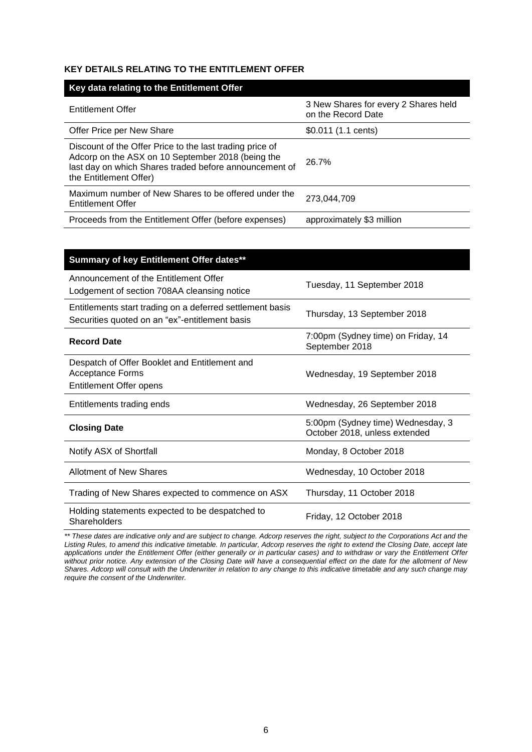# **KEY DETAILS RELATING TO THE ENTITLEMENT OFFER**

| Key data relating to the Entitlement Offer                                                                                                                                                        |                                                            |
|---------------------------------------------------------------------------------------------------------------------------------------------------------------------------------------------------|------------------------------------------------------------|
| <b>Entitlement Offer</b>                                                                                                                                                                          | 3 New Shares for every 2 Shares held<br>on the Record Date |
| Offer Price per New Share                                                                                                                                                                         | \$0.011 (1.1 cents)                                        |
| Discount of the Offer Price to the last trading price of<br>Adcorp on the ASX on 10 September 2018 (being the<br>last day on which Shares traded before announcement of<br>the Entitlement Offer) | 26.7%                                                      |
| Maximum number of New Shares to be offered under the<br>Entitlement Offer                                                                                                                         | 273.044.709                                                |
| Proceeds from the Entitlement Offer (before expenses)                                                                                                                                             | approximately \$3 million                                  |

| Summary of key Entitlement Offer dates**                                                                    |                                                                    |
|-------------------------------------------------------------------------------------------------------------|--------------------------------------------------------------------|
| Announcement of the Entitlement Offer<br>Lodgement of section 708AA cleansing notice                        | Tuesday, 11 September 2018                                         |
| Entitlements start trading on a deferred settlement basis<br>Securities quoted on an "ex"-entitlement basis | Thursday, 13 September 2018                                        |
| <b>Record Date</b>                                                                                          | 7:00pm (Sydney time) on Friday, 14<br>September 2018               |
| Despatch of Offer Booklet and Entitlement and<br><b>Acceptance Forms</b><br><b>Entitlement Offer opens</b>  | Wednesday, 19 September 2018                                       |
| Entitlements trading ends                                                                                   | Wednesday, 26 September 2018                                       |
| <b>Closing Date</b>                                                                                         | 5:00pm (Sydney time) Wednesday, 3<br>October 2018, unless extended |
| Notify ASX of Shortfall                                                                                     | Monday, 8 October 2018                                             |
| Allotment of New Shares                                                                                     | Wednesday, 10 October 2018                                         |
| Trading of New Shares expected to commence on ASX                                                           | Thursday, 11 October 2018                                          |
| Holding statements expected to be despatched to<br>Shareholders                                             | Friday, 12 October 2018                                            |

*\*\* These dates are indicative only and are subject to change. Adcorp reserves the right, subject to the Corporations Act and the*  Listing Rules, to amend this indicative timetable. In particular, Adcorp reserves the right to extend the Closing Date, accept late *applications under the Entitlement Offer (either generally or in particular cases) and to withdraw or vary the Entitlement Offer without prior notice. Any extension of the Closing Date will have a consequential effect on the date for the allotment of New Shares. Adcorp will consult with the Underwriter in relation to any change to this indicative timetable and any such change may require the consent of the Underwriter.*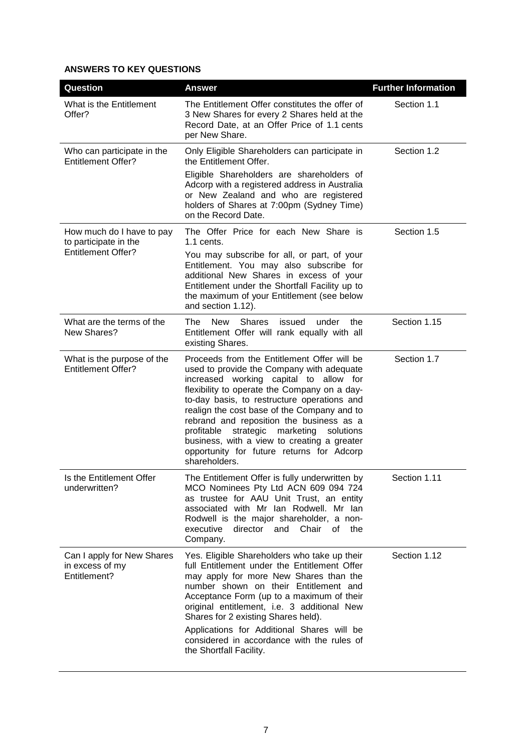# **ANSWERS TO KEY QUESTIONS**

| Question                                                      | <b>Answer</b>                                                                                                                                                                                                                                                                                                                                                                                                                                                                                  | <b>Further Information</b> |
|---------------------------------------------------------------|------------------------------------------------------------------------------------------------------------------------------------------------------------------------------------------------------------------------------------------------------------------------------------------------------------------------------------------------------------------------------------------------------------------------------------------------------------------------------------------------|----------------------------|
| What is the Entitlement<br>Offer?                             | The Entitlement Offer constitutes the offer of<br>3 New Shares for every 2 Shares held at the<br>Record Date, at an Offer Price of 1.1 cents<br>per New Share.                                                                                                                                                                                                                                                                                                                                 | Section 1.1                |
| Who can participate in the<br><b>Entitlement Offer?</b>       | Only Eligible Shareholders can participate in<br>the Entitlement Offer.                                                                                                                                                                                                                                                                                                                                                                                                                        | Section 1.2                |
|                                                               | Eligible Shareholders are shareholders of<br>Adcorp with a registered address in Australia<br>or New Zealand and who are registered<br>holders of Shares at 7:00pm (Sydney Time)<br>on the Record Date.                                                                                                                                                                                                                                                                                        |                            |
| How much do I have to pay<br>to participate in the            | The Offer Price for each New Share is<br>$1.1$ cents.                                                                                                                                                                                                                                                                                                                                                                                                                                          | Section 1.5                |
| <b>Entitlement Offer?</b>                                     | You may subscribe for all, or part, of your<br>Entitlement. You may also subscribe for<br>additional New Shares in excess of your<br>Entitlement under the Shortfall Facility up to<br>the maximum of your Entitlement (see below<br>and section 1.12).                                                                                                                                                                                                                                        |                            |
| What are the terms of the<br>New Shares?                      | <b>New</b><br>Shares<br>The<br>issued<br>under<br>the<br>Entitlement Offer will rank equally with all<br>existing Shares.                                                                                                                                                                                                                                                                                                                                                                      | Section 1.15               |
| What is the purpose of the<br><b>Entitlement Offer?</b>       | Proceeds from the Entitlement Offer will be<br>used to provide the Company with adequate<br>increased working capital to allow for<br>flexibility to operate the Company on a day-<br>to-day basis, to restructure operations and<br>realign the cost base of the Company and to<br>rebrand and reposition the business as a<br>marketing<br>profitable<br>strategic<br>solutions<br>business, with a view to creating a greater<br>opportunity for future returns for Adcorp<br>shareholders. | Section 1.7                |
| Is the Entitlement Offer<br>underwritten?                     | The Entitlement Offer is fully underwritten by<br>MCO Nominees Pty Ltd ACN 609 094 724<br>as trustee for AAU Unit Trust, an entity<br>associated with Mr Ian Rodwell. Mr Ian<br>Rodwell is the major shareholder, a non-<br>executive<br>director and Chair<br>of<br>the<br>Company.                                                                                                                                                                                                           | Section 1.11               |
| Can I apply for New Shares<br>in excess of my<br>Entitlement? | Yes. Eligible Shareholders who take up their<br>full Entitlement under the Entitlement Offer<br>may apply for more New Shares than the<br>number shown on their Entitlement and<br>Acceptance Form (up to a maximum of their<br>original entitlement, i.e. 3 additional New<br>Shares for 2 existing Shares held).<br>Applications for Additional Shares will be<br>considered in accordance with the rules of<br>the Shortfall Facility.                                                      | Section 1.12               |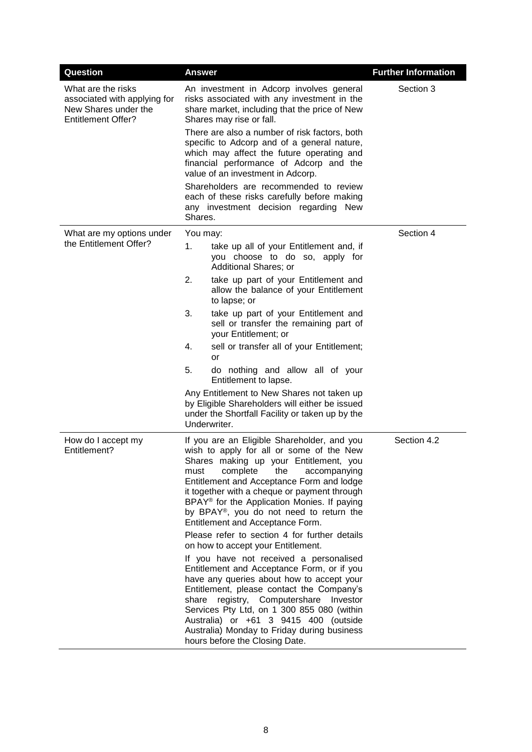| Question                                                                                                | <b>Answer</b>                                                                                                                                                                                                                                                                                                                                                                                                                                                        | <b>Further Information</b> |  |  |
|---------------------------------------------------------------------------------------------------------|----------------------------------------------------------------------------------------------------------------------------------------------------------------------------------------------------------------------------------------------------------------------------------------------------------------------------------------------------------------------------------------------------------------------------------------------------------------------|----------------------------|--|--|
| What are the risks<br>associated with applying for<br>New Shares under the<br><b>Entitlement Offer?</b> | An investment in Adcorp involves general<br>risks associated with any investment in the<br>share market, including that the price of New<br>Shares may rise or fall.                                                                                                                                                                                                                                                                                                 |                            |  |  |
|                                                                                                         | There are also a number of risk factors, both<br>specific to Adcorp and of a general nature,<br>which may affect the future operating and<br>financial performance of Adcorp and the<br>value of an investment in Adcorp.                                                                                                                                                                                                                                            |                            |  |  |
|                                                                                                         | Shareholders are recommended to review<br>each of these risks carefully before making<br>any investment decision regarding New<br>Shares.                                                                                                                                                                                                                                                                                                                            |                            |  |  |
| What are my options under                                                                               | You may:                                                                                                                                                                                                                                                                                                                                                                                                                                                             | Section 4                  |  |  |
| the Entitlement Offer?                                                                                  | 1.<br>take up all of your Entitlement and, if<br>you choose to do so, apply for<br>Additional Shares; or                                                                                                                                                                                                                                                                                                                                                             |                            |  |  |
|                                                                                                         | 2.<br>take up part of your Entitlement and<br>allow the balance of your Entitlement<br>to lapse; or                                                                                                                                                                                                                                                                                                                                                                  |                            |  |  |
|                                                                                                         | 3.<br>take up part of your Entitlement and<br>sell or transfer the remaining part of<br>your Entitlement; or                                                                                                                                                                                                                                                                                                                                                         |                            |  |  |
|                                                                                                         | 4.<br>sell or transfer all of your Entitlement;<br><b>or</b>                                                                                                                                                                                                                                                                                                                                                                                                         |                            |  |  |
|                                                                                                         | 5.<br>do nothing and allow all of your<br>Entitlement to lapse.                                                                                                                                                                                                                                                                                                                                                                                                      |                            |  |  |
|                                                                                                         | Any Entitlement to New Shares not taken up<br>by Eligible Shareholders will either be issued<br>under the Shortfall Facility or taken up by the<br>Underwriter.                                                                                                                                                                                                                                                                                                      |                            |  |  |
| How do I accept my<br>Entitlement?                                                                      | If you are an Eligible Shareholder, and you<br>wish to apply for all or some of the New<br>Shares making up your Entitlement, you<br>complete<br>the<br>must<br>accompanying<br>Entitlement and Acceptance Form and lodge<br>it together with a cheque or payment through<br>BPAY <sup>®</sup> for the Application Monies. If paying<br>by BPAY®, you do not need to return the<br>Entitlement and Acceptance Form.<br>Please refer to section 4 for further details | Section 4.2                |  |  |
|                                                                                                         | on how to accept your Entitlement.<br>If you have not received a personalised<br>Entitlement and Acceptance Form, or if you<br>have any queries about how to accept your<br>Entitlement, please contact the Company's<br>share registry, Computershare Investor<br>Services Pty Ltd, on 1 300 855 080 (within<br>Australia) or +61 3 9415 400 (outside<br>Australia) Monday to Friday during business<br>hours before the Closing Date.                              |                            |  |  |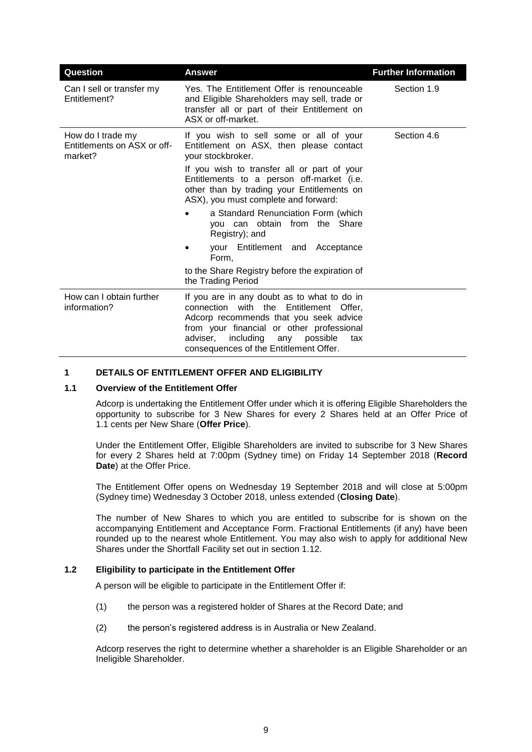| Question                                                    | <b>Answer</b>                                                                                                                                                                                                                                                             | <b>Further Information</b> |  |
|-------------------------------------------------------------|---------------------------------------------------------------------------------------------------------------------------------------------------------------------------------------------------------------------------------------------------------------------------|----------------------------|--|
| Can I sell or transfer my<br>Entitlement?                   | Yes. The Entitlement Offer is renounceable<br>and Eligible Shareholders may sell, trade or<br>transfer all or part of their Entitlement on<br>ASX or off-market.                                                                                                          | Section 1.9                |  |
| How do I trade my<br>Entitlements on ASX or off-<br>market? | If you wish to sell some or all of your<br>Entitlement on ASX, then please contact<br>your stockbroker.                                                                                                                                                                   | Section 4.6                |  |
|                                                             | If you wish to transfer all or part of your<br>Entitlements to a person off-market (i.e.<br>other than by trading your Entitlements on<br>ASX), you must complete and forward:                                                                                            |                            |  |
|                                                             | a Standard Renunciation Form (which<br>you can obtain from the Share<br>Registry); and                                                                                                                                                                                    |                            |  |
|                                                             | your Entitlement and Acceptance<br>Form,                                                                                                                                                                                                                                  |                            |  |
|                                                             | to the Share Registry before the expiration of<br>the Trading Period                                                                                                                                                                                                      |                            |  |
| How can I obtain further<br>information?                    | If you are in any doubt as to what to do in<br>connection with the Entitlement Offer,<br>Adcorp recommends that you seek advice<br>from your financial or other professional<br>including<br>possible<br>adviser,<br>any<br>tax<br>consequences of the Entitlement Offer. |                            |  |

# **1 DETAILS OF ENTITLEMENT OFFER AND ELIGIBILITY**

#### <span id="page-9-0"></span>**1.1 Overview of the Entitlement Offer**

Adcorp is undertaking the Entitlement Offer under which it is offering Eligible Shareholders the opportunity to subscribe for 3 New Shares for every 2 Shares held at an Offer Price of 1.1 cents per New Share (**Offer Price**).

Under the Entitlement Offer, Eligible Shareholders are invited to subscribe for 3 New Shares for every 2 Shares held at 7:00pm (Sydney time) on Friday 14 September 2018 (**Record**  Date) at the Offer Price.

The Entitlement Offer opens on Wednesday 19 September 2018 and will close at 5:00pm (Sydney time) Wednesday 3 October 2018, unless extended (**Closing Date**).

The number of New Shares to which you are entitled to subscribe for is shown on the accompanying Entitlement and Acceptance Form. Fractional Entitlements (if any) have been rounded up to the nearest whole Entitlement. You may also wish to apply for additional New Shares under the Shortfall Facility set out in section [1.12.](#page-12-0)

#### <span id="page-9-1"></span>**1.2 Eligibility to participate in the Entitlement Offer**

A person will be eligible to participate in the Entitlement Offer if:

- (1) the person was a registered holder of Shares at the Record Date; and
- (2) the person's registered address is in Australia or New Zealand.

Adcorp reserves the right to determine whether a shareholder is an Eligible Shareholder or an Ineligible Shareholder.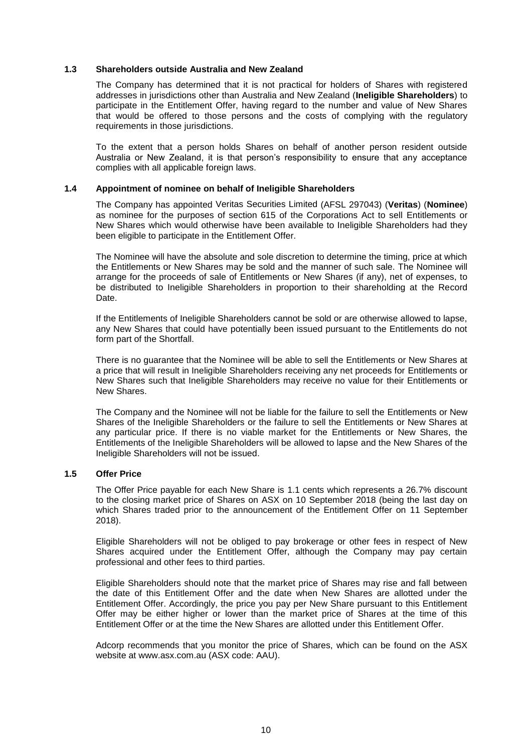# **1.3 Shareholders outside Australia and New Zealand**

The Company has determined that it is not practical for holders of Shares with registered addresses in jurisdictions other than Australia and New Zealand (**Ineligible Shareholders**) to participate in the Entitlement Offer, having regard to the number and value of New Shares that would be offered to those persons and the costs of complying with the regulatory requirements in those jurisdictions.

To the extent that a person holds Shares on behalf of another person resident outside Australia or New Zealand, it is that person's responsibility to ensure that any acceptance complies with all applicable foreign laws.

#### **1.4 Appointment of nominee on behalf of Ineligible Shareholders**

The Company has appointed Veritas Securities Limited (AFSL 297043) (**Veritas**) (**Nominee**) as nominee for the purposes of section 615 of the Corporations Act to sell Entitlements or New Shares which would otherwise have been available to Ineligible Shareholders had they been eligible to participate in the Entitlement Offer.

The Nominee will have the absolute and sole discretion to determine the timing, price at which the Entitlements or New Shares may be sold and the manner of such sale. The Nominee will arrange for the proceeds of sale of Entitlements or New Shares (if any), net of expenses, to be distributed to Ineligible Shareholders in proportion to their shareholding at the Record Date.

If the Entitlements of Ineligible Shareholders cannot be sold or are otherwise allowed to lapse, any New Shares that could have potentially been issued pursuant to the Entitlements do not form part of the Shortfall.

There is no guarantee that the Nominee will be able to sell the Entitlements or New Shares at a price that will result in Ineligible Shareholders receiving any net proceeds for Entitlements or New Shares such that Ineligible Shareholders may receive no value for their Entitlements or New Shares.

The Company and the Nominee will not be liable for the failure to sell the Entitlements or New Shares of the Ineligible Shareholders or the failure to sell the Entitlements or New Shares at any particular price. If there is no viable market for the Entitlements or New Shares, the Entitlements of the Ineligible Shareholders will be allowed to lapse and the New Shares of the Ineligible Shareholders will not be issued.

# <span id="page-10-0"></span>**1.5 Offer Price**

The Offer Price payable for each New Share is 1.1 cents which represents a 26.7% discount to the closing market price of Shares on ASX on 10 September 2018 (being the last day on which Shares traded prior to the announcement of the Entitlement Offer on 11 September 2018).

Eligible Shareholders will not be obliged to pay brokerage or other fees in respect of New Shares acquired under the Entitlement Offer, although the Company may pay certain professional and other fees to third parties.

Eligible Shareholders should note that the market price of Shares may rise and fall between the date of this Entitlement Offer and the date when New Shares are allotted under the Entitlement Offer. Accordingly, the price you pay per New Share pursuant to this Entitlement Offer may be either higher or lower than the market price of Shares at the time of this Entitlement Offer or at the time the New Shares are allotted under this Entitlement Offer.

Adcorp recommends that you monitor the price of Shares, which can be found on the ASX website at www.asx.com.au (ASX code: AAU).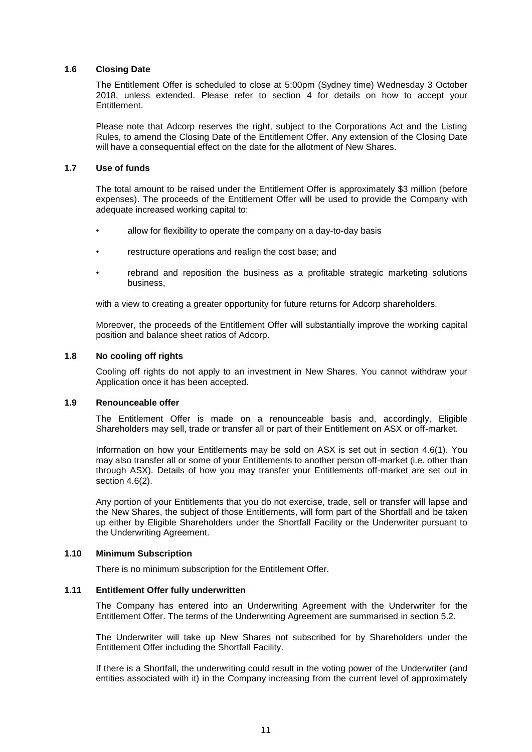# **1.6 Closing Date**

The Entitlement Offer is scheduled to close at 5:00pm (Sydney time) Wednesday 3 October 2018, unless extended. Please refer to section [4](#page-19-0) for details on how to accept your **Entitlement** 

Please note that Adcorp reserves the right, subject to the Corporations Act and the Listing Rules, to amend the Closing Date of the Entitlement Offer. Any extension of the Closing Date will have a consequential effect on the date for the allotment of New Shares.

#### <span id="page-11-0"></span>**1.7 Use of funds**

The total amount to be raised under the Entitlement Offer is approximately \$3 million (before expenses). The proceeds of the Entitlement Offer will be used to provide the Company with adequate increased working capital to:

- allow for flexibility to operate the company on a day-to-day basis
- restructure operations and realign the cost base; and
- rebrand and reposition the business as a profitable strategic marketing solutions business,

with a view to creating a greater opportunity for future returns for Adcorp shareholders.

Moreover, the proceeds of the Entitlement Offer will substantially improve the working capital position and balance sheet ratios of Adcorp.

#### **1.8 No cooling off rights**

Cooling off rights do not apply to an investment in New Shares. You cannot withdraw your Application once it has been accepted.

#### <span id="page-11-2"></span>**1.9 Renounceable offer**

The Entitlement Offer is made on a renounceable basis and, accordingly, Eligible Shareholders may sell, trade or transfer all or part of their Entitlement on ASX or off-market.

Information on how your Entitlements may be sold on ASX is set out in section [4.6\(1\).](#page-23-1) You may also transfer all or some of your Entitlements to another person off-market (i.e. other than through ASX). Details of how you may transfer your Entitlements off-market are set out in section [4.6\(2\).](#page-23-2)

Any portion of your Entitlements that you do not exercise, trade, sell or transfer will lapse and the New Shares, the subject of those Entitlements, will form part of the Shortfall and be taken up either by Eligible Shareholders under the Shortfall Facility or the Underwriter pursuant to the Underwriting Agreement.

#### **1.10 Minimum Subscription**

There is no minimum subscription for the Entitlement Offer.

#### <span id="page-11-1"></span>**1.11 Entitlement Offer fully underwritten**

The Company has entered into an Underwriting Agreement with the Underwriter for the Entitlement Offer. The terms of the Underwriting Agreement are summarised in section [5.2.](#page-24-0)

The Underwriter will take up New Shares not subscribed for by Shareholders under the Entitlement Offer including the Shortfall Facility.

If there is a Shortfall, the underwriting could result in the voting power of the Underwriter (and entities associated with it) in the Company increasing from the current level of approximately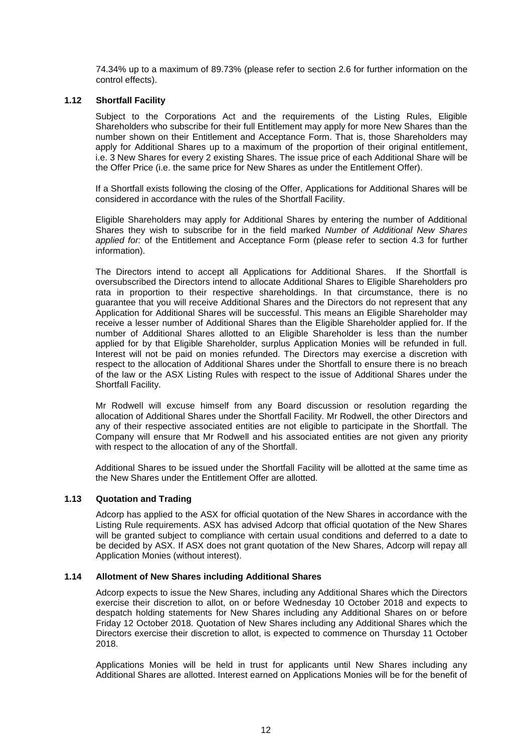74.34% up to a maximum of 89.73% (please refer to section [2.6](#page-16-0) for further information on the control effects).

# <span id="page-12-0"></span>**1.12 Shortfall Facility**

Subject to the Corporations Act and the requirements of the Listing Rules, Eligible Shareholders who subscribe for their full Entitlement may apply for more New Shares than the number shown on their Entitlement and Acceptance Form. That is, those Shareholders may apply for Additional Shares up to a maximum of the proportion of their original entitlement, i.e. 3 New Shares for every 2 existing Shares. The issue price of each Additional Share will be the Offer Price (i.e. the same price for New Shares as under the Entitlement Offer).

If a Shortfall exists following the closing of the Offer, Applications for Additional Shares will be considered in accordance with the rules of the Shortfall Facility.

Eligible Shareholders may apply for Additional Shares by entering the number of Additional Shares they wish to subscribe for in the field marked *Number of Additional New Shares applied for:* of the Entitlement and Acceptance Form (please refer to section [4.3](#page-20-0) for further information).

The Directors intend to accept all Applications for Additional Shares. If the Shortfall is oversubscribed the Directors intend to allocate Additional Shares to Eligible Shareholders pro rata in proportion to their respective shareholdings. In that circumstance, there is no guarantee that you will receive Additional Shares and the Directors do not represent that any Application for Additional Shares will be successful. This means an Eligible Shareholder may receive a lesser number of Additional Shares than the Eligible Shareholder applied for. If the number of Additional Shares allotted to an Eligible Shareholder is less than the number applied for by that Eligible Shareholder, surplus Application Monies will be refunded in full. Interest will not be paid on monies refunded. The Directors may exercise a discretion with respect to the allocation of Additional Shares under the Shortfall to ensure there is no breach of the law or the ASX Listing Rules with respect to the issue of Additional Shares under the Shortfall Facility.

Mr Rodwell will excuse himself from any Board discussion or resolution regarding the allocation of Additional Shares under the Shortfall Facility. Mr Rodwell, the other Directors and any of their respective associated entities are not eligible to participate in the Shortfall. The Company will ensure that Mr Rodwell and his associated entities are not given any priority with respect to the allocation of any of the Shortfall.

Additional Shares to be issued under the Shortfall Facility will be allotted at the same time as the New Shares under the Entitlement Offer are allotted.

#### **1.13 Quotation and Trading**

Adcorp has applied to the ASX for official quotation of the New Shares in accordance with the Listing Rule requirements. ASX has advised Adcorp that official quotation of the New Shares will be granted subject to compliance with certain usual conditions and deferred to a date to be decided by ASX. If ASX does not grant quotation of the New Shares, Adcorp will repay all Application Monies (without interest).

#### **1.14 Allotment of New Shares including Additional Shares**

Adcorp expects to issue the New Shares, including any Additional Shares which the Directors exercise their discretion to allot, on or before Wednesday 10 October 2018 and expects to despatch holding statements for New Shares including any Additional Shares on or before Friday 12 October 2018. Quotation of New Shares including any Additional Shares which the Directors exercise their discretion to allot, is expected to commence on Thursday 11 October 2018.

Applications Monies will be held in trust for applicants until New Shares including any Additional Shares are allotted. Interest earned on Applications Monies will be for the benefit of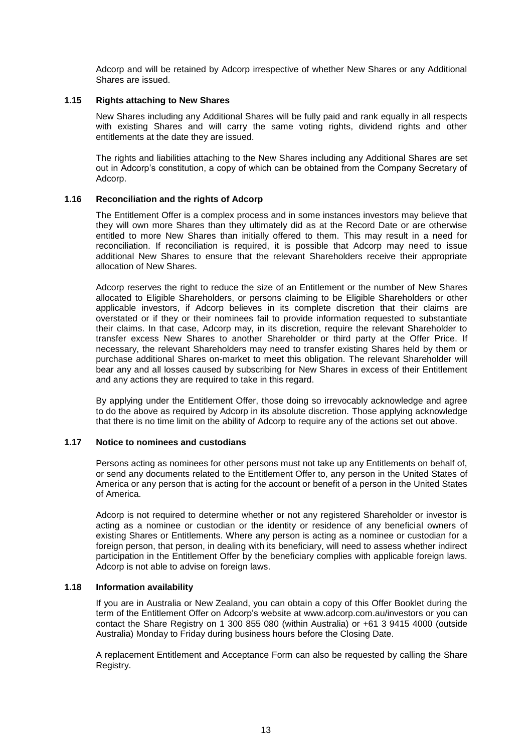Adcorp and will be retained by Adcorp irrespective of whether New Shares or any Additional Shares are issued.

#### <span id="page-13-0"></span>**1.15 Rights attaching to New Shares**

New Shares including any Additional Shares will be fully paid and rank equally in all respects with existing Shares and will carry the same voting rights, dividend rights and other entitlements at the date they are issued.

The rights and liabilities attaching to the New Shares including any Additional Shares are set out in Adcorp's constitution, a copy of which can be obtained from the Company Secretary of Adcorp.

#### **1.16 Reconciliation and the rights of Adcorp**

The Entitlement Offer is a complex process and in some instances investors may believe that they will own more Shares than they ultimately did as at the Record Date or are otherwise entitled to more New Shares than initially offered to them. This may result in a need for reconciliation. If reconciliation is required, it is possible that Adcorp may need to issue additional New Shares to ensure that the relevant Shareholders receive their appropriate allocation of New Shares.

Adcorp reserves the right to reduce the size of an Entitlement or the number of New Shares allocated to Eligible Shareholders, or persons claiming to be Eligible Shareholders or other applicable investors, if Adcorp believes in its complete discretion that their claims are overstated or if they or their nominees fail to provide information requested to substantiate their claims. In that case, Adcorp may, in its discretion, require the relevant Shareholder to transfer excess New Shares to another Shareholder or third party at the Offer Price. If necessary, the relevant Shareholders may need to transfer existing Shares held by them or purchase additional Shares on-market to meet this obligation. The relevant Shareholder will bear any and all losses caused by subscribing for New Shares in excess of their Entitlement and any actions they are required to take in this regard.

By applying under the Entitlement Offer, those doing so irrevocably acknowledge and agree to do the above as required by Adcorp in its absolute discretion. Those applying acknowledge that there is no time limit on the ability of Adcorp to require any of the actions set out above.

#### **1.17 Notice to nominees and custodians**

Persons acting as nominees for other persons must not take up any Entitlements on behalf of, or send any documents related to the Entitlement Offer to, any person in the United States of America or any person that is acting for the account or benefit of a person in the United States of America.

Adcorp is not required to determine whether or not any registered Shareholder or investor is acting as a nominee or custodian or the identity or residence of any beneficial owners of existing Shares or Entitlements. Where any person is acting as a nominee or custodian for a foreign person, that person, in dealing with its beneficiary, will need to assess whether indirect participation in the Entitlement Offer by the beneficiary complies with applicable foreign laws. Adcorp is not able to advise on foreign laws.

#### **1.18 Information availability**

If you are in Australia or New Zealand, you can obtain a copy of this Offer Booklet during the term of the Entitlement Offer on Adcorp's website at [www.adcorp.com.au/investors](http://www.funtastic.com.au/) or you can contact the Share Registry on 1 300 855 080 (within Australia) or +61 3 9415 4000 (outside Australia) Monday to Friday during business hours before the Closing Date.

A replacement Entitlement and Acceptance Form can also be requested by calling the Share Registry.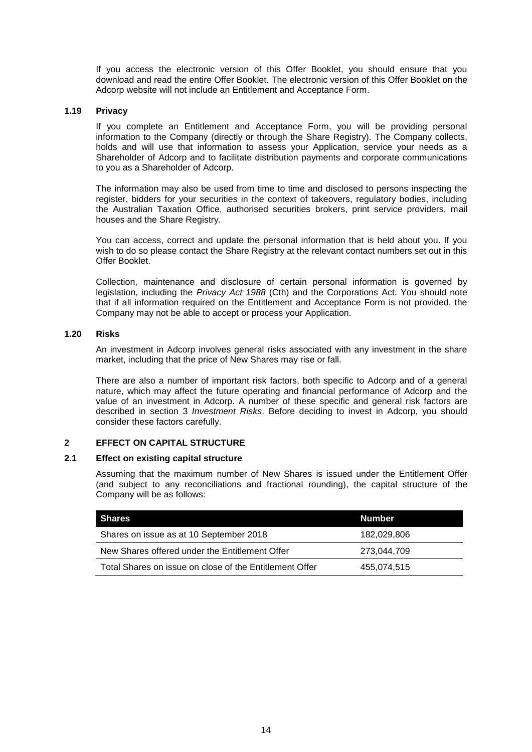If you access the electronic version of this Offer Booklet, you should ensure that you download and read the entire Offer Booklet. The electronic version of this Offer Booklet on the Adcorp website will not include an Entitlement and Acceptance Form.

#### **1.19 Privacy**

If you complete an Entitlement and Acceptance Form, you will be providing personal information to the Company (directly or through the Share Registry). The Company collects, holds and will use that information to assess your Application, service your needs as a Shareholder of Adcorp and to facilitate distribution payments and corporate communications to you as a Shareholder of Adcorp.

The information may also be used from time to time and disclosed to persons inspecting the register, bidders for your securities in the context of takeovers, regulatory bodies, including the Australian Taxation Office, authorised securities brokers, print service providers, mail houses and the Share Registry.

You can access, correct and update the personal information that is held about you. If you wish to do so please contact the Share Registry at the relevant contact numbers set out in this Offer Booklet.

Collection, maintenance and disclosure of certain personal information is governed by legislation, including the *Privacy Act 1988* (Cth) and the Corporations Act. You should note that if all information required on the Entitlement and Acceptance Form is not provided, the Company may not be able to accept or process your Application.

# **1.20 Risks**

An investment in Adcorp involves general risks associated with any investment in the share market, including that the price of New Shares may rise or fall.

There are also a number of important risk factors, both specific to Adcorp and of a general nature, which may affect the future operating and financial performance of Adcorp and the value of an investment in Adcorp. A number of these specific and general risk factors are described in section [3](#page-17-0) *Investment Risks*. Before deciding to invest in Adcorp, you should consider these factors carefully.

# **2 EFFECT ON CAPITAL STRUCTURE**

# **2.1 Effect on existing capital structure**

Assuming that the maximum number of New Shares is issued under the Entitlement Offer (and subject to any reconciliations and fractional rounding), the capital structure of the Company will be as follows:

| Shares                                                  | Number      |
|---------------------------------------------------------|-------------|
| Shares on issue as at 10 September 2018                 | 182.029.806 |
| New Shares offered under the Entitlement Offer          | 273.044.709 |
| Total Shares on issue on close of the Entitlement Offer | 455.074.515 |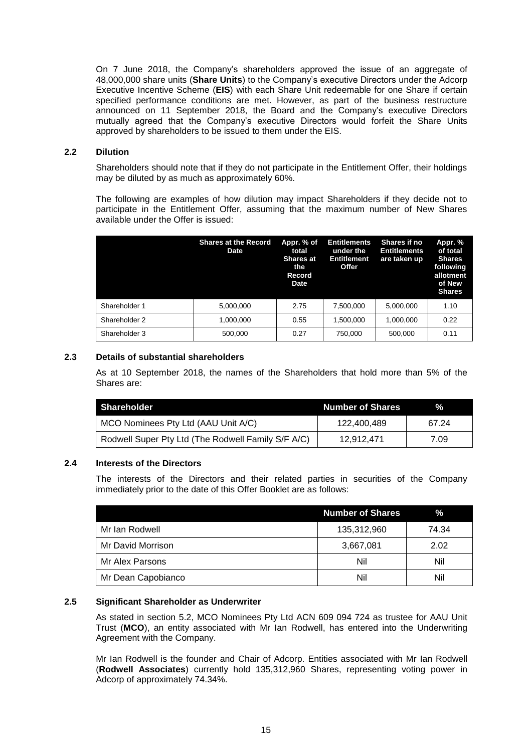On 7 June 2018, the Company's shareholders approved the issue of an aggregate of 48,000,000 share units (**Share Units**) to the Company's executive Directors under the Adcorp Executive Incentive Scheme (**EIS**) with each Share Unit redeemable for one Share if certain specified performance conditions are met. However, as part of the business restructure announced on 11 September 2018, the Board and the Company's executive Directors mutually agreed that the Company's executive Directors would forfeit the Share Units approved by shareholders to be issued to them under the EIS.

## <span id="page-15-0"></span>**2.2 Dilution**

Shareholders should note that if they do not participate in the Entitlement Offer, their holdings may be diluted by as much as approximately 60%.

The following are examples of how dilution may impact Shareholders if they decide not to participate in the Entitlement Offer, assuming that the maximum number of New Shares available under the Offer is issued:

|               | <b>Shares at the Record</b><br>Date | Appr. % of<br>total<br><b>Shares at</b><br>the<br><b>Record</b><br><b>Date</b> | <b>Entitlements</b><br>under the<br>Entitlement<br>Offer | <b>Shares if no</b><br><b>Entitlements</b><br>are taken up | Appr. %<br>of total<br><b>Shares</b><br>following<br>allotment<br>of New<br><b>Shares</b> |
|---------------|-------------------------------------|--------------------------------------------------------------------------------|----------------------------------------------------------|------------------------------------------------------------|-------------------------------------------------------------------------------------------|
| Shareholder 1 | 5.000.000                           | 2.75                                                                           | 7,500,000                                                | 5.000.000                                                  | 1.10                                                                                      |
| Shareholder 2 | 1.000.000                           | 0.55                                                                           | 1.500.000                                                | 1.000.000                                                  | 0.22                                                                                      |
| Shareholder 3 | 500,000                             | 0.27                                                                           | 750,000                                                  | 500,000                                                    | 0.11                                                                                      |

# **2.3 Details of substantial shareholders**

As at 10 September 2018, the names of the Shareholders that hold more than 5% of the Shares are:

| Shareholder                                        | <b>Number of Shares</b> | %.    |
|----------------------------------------------------|-------------------------|-------|
| MCO Nominees Pty Ltd (AAU Unit A/C)                | 122.400.489             | 67 24 |
| Rodwell Super Pty Ltd (The Rodwell Family S/F A/C) | 12.912.471              | 7.09  |

# **2.4 Interests of the Directors**

The interests of the Directors and their related parties in securities of the Company immediately prior to the date of this Offer Booklet are as follows:

|                    | <b>Number of Shares</b> | $\%$  |
|--------------------|-------------------------|-------|
| Mr Ian Rodwell     | 135,312,960             | 74.34 |
| Mr David Morrison  | 3,667,081               | 2.02  |
| Mr Alex Parsons    | Nil                     | Nil   |
| Mr Dean Capobianco | Nil                     | Nil   |

# <span id="page-15-1"></span>**2.5 Significant Shareholder as Underwriter**

As stated in section [5.2,](#page-24-0) MCO Nominees Pty Ltd ACN 609 094 724 as trustee for AAU Unit Trust (**MCO**), an entity associated with Mr Ian Rodwell, has entered into the Underwriting Agreement with the Company.

Mr Ian Rodwell is the founder and Chair of Adcorp. Entities associated with Mr Ian Rodwell (**Rodwell Associates**) currently hold 135,312,960 Shares, representing voting power in Adcorp of approximately 74.34%.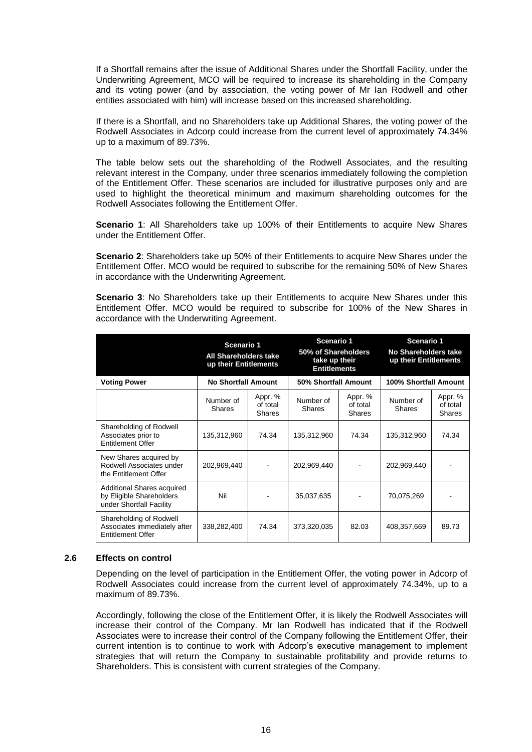If a Shortfall remains after the issue of Additional Shares under the Shortfall Facility, under the Underwriting Agreement, MCO will be required to increase its shareholding in the Company and its voting power (and by association, the voting power of Mr Ian Rodwell and other entities associated with him) will increase based on this increased shareholding.

If there is a Shortfall, and no Shareholders take up Additional Shares, the voting power of the Rodwell Associates in Adcorp could increase from the current level of approximately 74.34% up to a maximum of 89.73%.

The table below sets out the shareholding of the Rodwell Associates, and the resulting relevant interest in the Company, under three scenarios immediately following the completion of the Entitlement Offer. These scenarios are included for illustrative purposes only and are used to highlight the theoretical minimum and maximum shareholding outcomes for the Rodwell Associates following the Entitlement Offer.

**Scenario 1**: All Shareholders take up 100% of their Entitlements to acquire New Shares under the Entitlement Offer.

**Scenario 2**: Shareholders take up 50% of their Entitlements to acquire New Shares under the Entitlement Offer. MCO would be required to subscribe for the remaining 50% of New Shares in accordance with the Underwriting Agreement.

**Scenario 3**: No Shareholders take up their Entitlements to acquire New Shares under this Entitlement Offer. MCO would be required to subscribe for 100% of the New Shares in accordance with the Underwriting Agreement.

|                                                                                     | Scenario 1<br>All Shareholders take<br>up their Entitlements |                                      | Scenario 1<br>50% of Shareholders<br>take up their<br><b>Entitlements</b> |                                      | Scenario 1<br><b>No Shareholders take</b><br>up their Entitlements |                                      |
|-------------------------------------------------------------------------------------|--------------------------------------------------------------|--------------------------------------|---------------------------------------------------------------------------|--------------------------------------|--------------------------------------------------------------------|--------------------------------------|
| <b>Voting Power</b>                                                                 | <b>No Shortfall Amount</b>                                   |                                      | 50% Shortfall Amount                                                      |                                      | 100% Shortfall Amount                                              |                                      |
|                                                                                     | Number of<br>Shares                                          | Appr. %<br>of total<br><b>Shares</b> | Number of<br><b>Shares</b>                                                | Appr. %<br>of total<br><b>Shares</b> | Number of<br><b>Shares</b>                                         | Appr. %<br>of total<br><b>Shares</b> |
| Shareholding of Rodwell<br>Associates prior to<br><b>Entitlement Offer</b>          | 135,312,960                                                  | 74.34                                | 135,312,960                                                               | 74.34                                | 135,312,960                                                        | 74.34                                |
| New Shares acquired by<br>Rodwell Associates under<br>the Entitlement Offer         | 202,969,440                                                  |                                      | 202,969,440                                                               |                                      | 202,969,440                                                        |                                      |
| Additional Shares acquired<br>by Eligible Shareholders<br>under Shortfall Facility  | Nil                                                          |                                      | 35,037,635                                                                |                                      | 70,075,269                                                         |                                      |
| Shareholding of Rodwell<br>Associates immediately after<br><b>Entitlement Offer</b> | 338,282,400                                                  | 74.34                                | 373,320,035                                                               | 82.03                                | 408,357,669                                                        | 89.73                                |

#### <span id="page-16-0"></span>**2.6 Effects on control**

Depending on the level of participation in the Entitlement Offer, the voting power in Adcorp of Rodwell Associates could increase from the current level of approximately 74.34%, up to a maximum of 89.73%.

Accordingly, following the close of the Entitlement Offer, it is likely the Rodwell Associates will increase their control of the Company. Mr Ian Rodwell has indicated that if the Rodwell Associates were to increase their control of the Company following the Entitlement Offer, their current intention is to continue to work with Adcorp's executive management to implement strategies that will return the Company to sustainable profitability and provide returns to Shareholders. This is consistent with current strategies of the Company.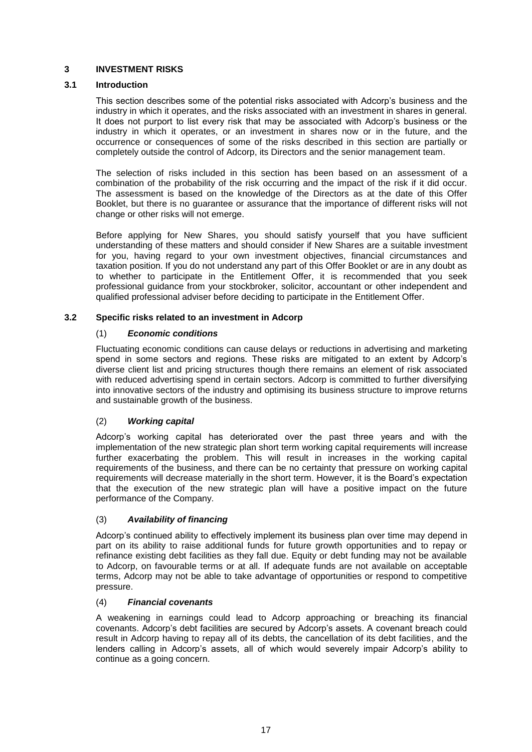# <span id="page-17-0"></span>**3 INVESTMENT RISKS**

# **3.1 Introduction**

This section describes some of the potential risks associated with Adcorp's business and the industry in which it operates, and the risks associated with an investment in shares in general. It does not purport to list every risk that may be associated with Adcorp's business or the industry in which it operates, or an investment in shares now or in the future, and the occurrence or consequences of some of the risks described in this section are partially or completely outside the control of Adcorp, its Directors and the senior management team.

The selection of risks included in this section has been based on an assessment of a combination of the probability of the risk occurring and the impact of the risk if it did occur. The assessment is based on the knowledge of the Directors as at the date of this Offer Booklet, but there is no guarantee or assurance that the importance of different risks will not change or other risks will not emerge.

Before applying for New Shares, you should satisfy yourself that you have sufficient understanding of these matters and should consider if New Shares are a suitable investment for you, having regard to your own investment objectives, financial circumstances and taxation position. If you do not understand any part of this Offer Booklet or are in any doubt as to whether to participate in the Entitlement Offer, it is recommended that you seek professional guidance from your stockbroker, solicitor, accountant or other independent and qualified professional adviser before deciding to participate in the Entitlement Offer.

# **3.2 Specific risks related to an investment in Adcorp**

# (1) *Economic conditions*

Fluctuating economic conditions can cause delays or reductions in advertising and marketing spend in some sectors and regions. These risks are mitigated to an extent by Adcorp's diverse client list and pricing structures though there remains an element of risk associated with reduced advertising spend in certain sectors. Adcorp is committed to further diversifying into innovative sectors of the industry and optimising its business structure to improve returns and sustainable growth of the business.

# (2) *Working capital*

Adcorp's working capital has deteriorated over the past three years and with the implementation of the new strategic plan short term working capital requirements will increase further exacerbating the problem. This will result in increases in the working capital requirements of the business, and there can be no certainty that pressure on working capital requirements will decrease materially in the short term. However, it is the Board's expectation that the execution of the new strategic plan will have a positive impact on the future performance of the Company.

# (3) *Availability of financing*

Adcorp's continued ability to effectively implement its business plan over time may depend in part on its ability to raise additional funds for future growth opportunities and to repay or refinance existing debt facilities as they fall due. Equity or debt funding may not be available to Adcorp, on favourable terms or at all. If adequate funds are not available on acceptable terms, Adcorp may not be able to take advantage of opportunities or respond to competitive pressure.

# (4) *Financial covenants*

A weakening in earnings could lead to Adcorp approaching or breaching its financial covenants. Adcorp's debt facilities are secured by Adcorp's assets. A covenant breach could result in Adcorp having to repay all of its debts, the cancellation of its debt facilities, and the lenders calling in Adcorp's assets, all of which would severely impair Adcorp's ability to continue as a going concern.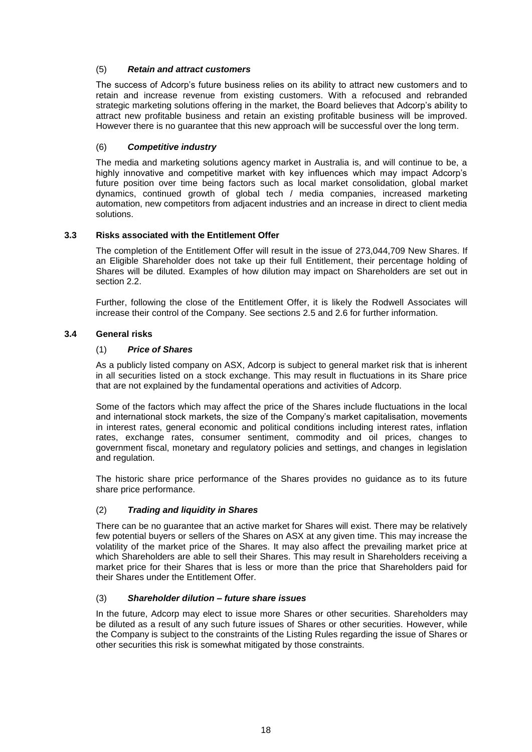# (5) *Retain and attract customers*

The success of Adcorp's future business relies on its ability to attract new customers and to retain and increase revenue from existing customers. With a refocused and rebranded strategic marketing solutions offering in the market, the Board believes that Adcorp's ability to attract new profitable business and retain an existing profitable business will be improved. However there is no guarantee that this new approach will be successful over the long term.

# (6) *Competitive industry*

The media and marketing solutions agency market in Australia is, and will continue to be, a highly innovative and competitive market with key influences which may impact Adcorp's future position over time being factors such as local market consolidation, global market dynamics, continued growth of global tech / media companies, increased marketing automation, new competitors from adjacent industries and an increase in direct to client media solutions.

# **3.3 Risks associated with the Entitlement Offer**

The completion of the Entitlement Offer will result in the issue of 273,044,709 New Shares. If an Eligible Shareholder does not take up their full Entitlement, their percentage holding of Shares will be diluted. Examples of how dilution may impact on Shareholders are set out in section [2.2.](#page-15-0)

Further, following the close of the Entitlement Offer, it is likely the Rodwell Associates will increase their control of the Company. See sections [2.5](#page-15-1) and [2.6](#page-16-0) for further information.

# **3.4 General risks**

# (1) *Price of Shares*

As a publicly listed company on ASX, Adcorp is subject to general market risk that is inherent in all securities listed on a stock exchange. This may result in fluctuations in its Share price that are not explained by the fundamental operations and activities of Adcorp.

Some of the factors which may affect the price of the Shares include fluctuations in the local and international stock markets, the size of the Company's market capitalisation, movements in interest rates, general economic and political conditions including interest rates, inflation rates, exchange rates, consumer sentiment, commodity and oil prices, changes to government fiscal, monetary and regulatory policies and settings, and changes in legislation and regulation.

The historic share price performance of the Shares provides no guidance as to its future share price performance.

# (2) *Trading and liquidity in Shares*

There can be no guarantee that an active market for Shares will exist. There may be relatively few potential buyers or sellers of the Shares on ASX at any given time. This may increase the volatility of the market price of the Shares. It may also affect the prevailing market price at which Shareholders are able to sell their Shares. This may result in Shareholders receiving a market price for their Shares that is less or more than the price that Shareholders paid for their Shares under the Entitlement Offer.

# (3) *Shareholder dilution – future share issues*

In the future, Adcorp may elect to issue more Shares or other securities. Shareholders may be diluted as a result of any such future issues of Shares or other securities. However, while the Company is subject to the constraints of the Listing Rules regarding the issue of Shares or other securities this risk is somewhat mitigated by those constraints.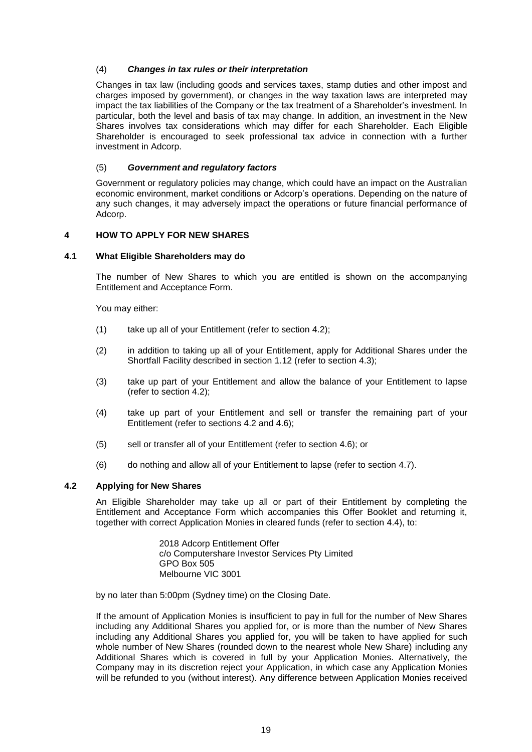# (4) *Changes in tax rules or their interpretation*

Changes in tax law (including goods and services taxes, stamp duties and other impost and charges imposed by government), or changes in the way taxation laws are interpreted may impact the tax liabilities of the Company or the tax treatment of a Shareholder's investment. In particular, both the level and basis of tax may change. In addition, an investment in the New Shares involves tax considerations which may differ for each Shareholder. Each Eligible Shareholder is encouraged to seek professional tax advice in connection with a further investment in Adcorp.

# (5) *Government and regulatory factors*

Government or regulatory policies may change, which could have an impact on the Australian economic environment, market conditions or Adcorp's operations. Depending on the nature of any such changes, it may adversely impact the operations or future financial performance of Adcorp.

# <span id="page-19-0"></span>**4 HOW TO APPLY FOR NEW SHARES**

#### **4.1 What Eligible Shareholders may do**

The number of New Shares to which you are entitled is shown on the accompanying Entitlement and Acceptance Form.

You may either:

- (1) take up all of your Entitlement (refer to section [4.2\)](#page-19-1);
- (2) in addition to taking up all of your Entitlement, apply for Additional Shares under the Shortfall Facility described in section [1.12](#page-12-0) (refer to section [4.3\)](#page-20-0);
- (3) take up part of your Entitlement and allow the balance of your Entitlement to lapse (refer to section [4.2\)](#page-19-1);
- (4) take up part of your Entitlement and sell or transfer the remaining part of your Entitlement (refer to sections [4.2](#page-19-1) and [4.6\)](#page-23-0);
- (5) sell or transfer all of your Entitlement (refer to section [4.6\)](#page-23-0); or
- (6) do nothing and allow all of your Entitlement to lapse (refer to section [4.7\)](#page-23-3).

# <span id="page-19-1"></span>**4.2 Applying for New Shares**

An Eligible Shareholder may take up all or part of their Entitlement by completing the Entitlement and Acceptance Form which accompanies this Offer Booklet and returning it, together with correct Application Monies in cleared funds (refer to section [4.4\)](#page-20-1), to:

> 2018 Adcorp Entitlement Offer c/o Computershare Investor Services Pty Limited GPO Box 505 Melbourne VIC 3001

by no later than 5:00pm (Sydney time) on the Closing Date.

If the amount of Application Monies is insufficient to pay in full for the number of New Shares including any Additional Shares you applied for, or is more than the number of New Shares including any Additional Shares you applied for, you will be taken to have applied for such whole number of New Shares (rounded down to the nearest whole New Share) including any Additional Shares which is covered in full by your Application Monies. Alternatively, the Company may in its discretion reject your Application, in which case any Application Monies will be refunded to you (without interest). Any difference between Application Monies received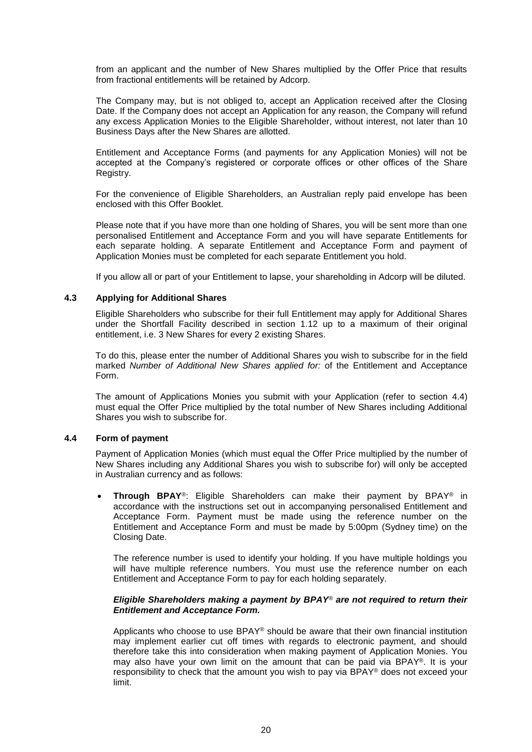from an applicant and the number of New Shares multiplied by the Offer Price that results from fractional entitlements will be retained by Adcorp.

The Company may, but is not obliged to, accept an Application received after the Closing Date. If the Company does not accept an Application for any reason, the Company will refund any excess Application Monies to the Eligible Shareholder, without interest, not later than 10 Business Days after the New Shares are allotted.

Entitlement and Acceptance Forms (and payments for any Application Monies) will not be accepted at the Company's registered or corporate offices or other offices of the Share Registry.

For the convenience of Eligible Shareholders, an Australian reply paid envelope has been enclosed with this Offer Booklet.

Please note that if you have more than one holding of Shares, you will be sent more than one personalised Entitlement and Acceptance Form and you will have separate Entitlements for each separate holding. A separate Entitlement and Acceptance Form and payment of Application Monies must be completed for each separate Entitlement you hold.

If you allow all or part of your Entitlement to lapse, your shareholding in Adcorp will be diluted.

# <span id="page-20-0"></span>**4.3 Applying for Additional Shares**

Eligible Shareholders who subscribe for their full Entitlement may apply for Additional Shares under the Shortfall Facility described in section [1.12](#page-12-0) up to a maximum of their original entitlement, i.e. 3 New Shares for every 2 existing Shares.

To do this, please enter the number of Additional Shares you wish to subscribe for in the field marked *Number of Additional New Shares applied for:* of the Entitlement and Acceptance Form.

The amount of Applications Monies you submit with your Application (refer to section [4.4\)](#page-20-1) must equal the Offer Price multiplied by the total number of New Shares including Additional Shares you wish to subscribe for.

#### <span id="page-20-1"></span>**4.4 Form of payment**

Payment of Application Monies (which must equal the Offer Price multiplied by the number of New Shares including any Additional Shares you wish to subscribe for) will only be accepted in Australian currency and as follows:

 **Through BPAY**®: Eligible Shareholders can make their payment by BPAY® in accordance with the instructions set out in accompanying personalised Entitlement and Acceptance Form. Payment must be made using the reference number on the Entitlement and Acceptance Form and must be made by 5:00pm (Sydney time) on the Closing Date.

The reference number is used to identify your holding. If you have multiple holdings you will have multiple reference numbers. You must use the reference number on each Entitlement and Acceptance Form to pay for each holding separately.

# *Eligible Shareholders making a payment by BPAY® are not required to return their Entitlement and Acceptance Form.*

Applicants who choose to use BPAY® should be aware that their own financial institution may implement earlier cut off times with regards to electronic payment, and should therefore take this into consideration when making payment of Application Monies. You may also have your own limit on the amount that can be paid via BPAY®. It is your responsibility to check that the amount you wish to pay via BPAY® does not exceed your limit.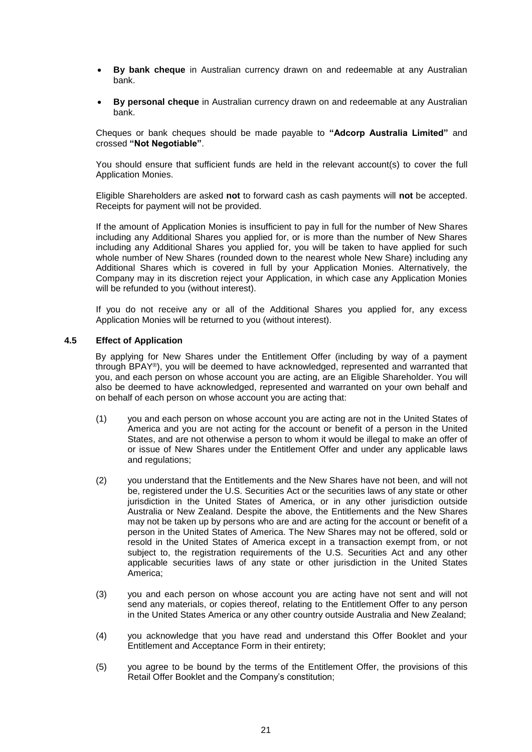- **By bank cheque** in Australian currency drawn on and redeemable at any Australian bank.
- **By personal cheque** in Australian currency drawn on and redeemable at any Australian bank.

Cheques or bank cheques should be made payable to **"Adcorp Australia Limited"** and crossed **"Not Negotiable"**.

You should ensure that sufficient funds are held in the relevant account(s) to cover the full Application Monies.

Eligible Shareholders are asked **not** to forward cash as cash payments will **not** be accepted. Receipts for payment will not be provided.

If the amount of Application Monies is insufficient to pay in full for the number of New Shares including any Additional Shares you applied for, or is more than the number of New Shares including any Additional Shares you applied for, you will be taken to have applied for such whole number of New Shares (rounded down to the nearest whole New Share) including any Additional Shares which is covered in full by your Application Monies. Alternatively, the Company may in its discretion reject your Application, in which case any Application Monies will be refunded to you (without interest).

If you do not receive any or all of the Additional Shares you applied for, any excess Application Monies will be returned to you (without interest).

#### **4.5 Effect of Application**

By applying for New Shares under the Entitlement Offer (including by way of a payment through BPAY®), you will be deemed to have acknowledged, represented and warranted that you, and each person on whose account you are acting, are an Eligible Shareholder. You will also be deemed to have acknowledged, represented and warranted on your own behalf and on behalf of each person on whose account you are acting that:

- (1) you and each person on whose account you are acting are not in the United States of America and you are not acting for the account or benefit of a person in the United States, and are not otherwise a person to whom it would be illegal to make an offer of or issue of New Shares under the Entitlement Offer and under any applicable laws and regulations;
- (2) you understand that the Entitlements and the New Shares have not been, and will not be, registered under the U.S. Securities Act or the securities laws of any state or other jurisdiction in the United States of America, or in any other jurisdiction outside Australia or New Zealand. Despite the above, the Entitlements and the New Shares may not be taken up by persons who are and are acting for the account or benefit of a person in the United States of America. The New Shares may not be offered, sold or resold in the United States of America except in a transaction exempt from, or not subject to, the registration requirements of the U.S. Securities Act and any other applicable securities laws of any state or other jurisdiction in the United States America;
- (3) you and each person on whose account you are acting have not sent and will not send any materials, or copies thereof, relating to the Entitlement Offer to any person in the United States America or any other country outside Australia and New Zealand;
- (4) you acknowledge that you have read and understand this Offer Booklet and your Entitlement and Acceptance Form in their entirety;
- (5) you agree to be bound by the terms of the Entitlement Offer, the provisions of this Retail Offer Booklet and the Company's constitution;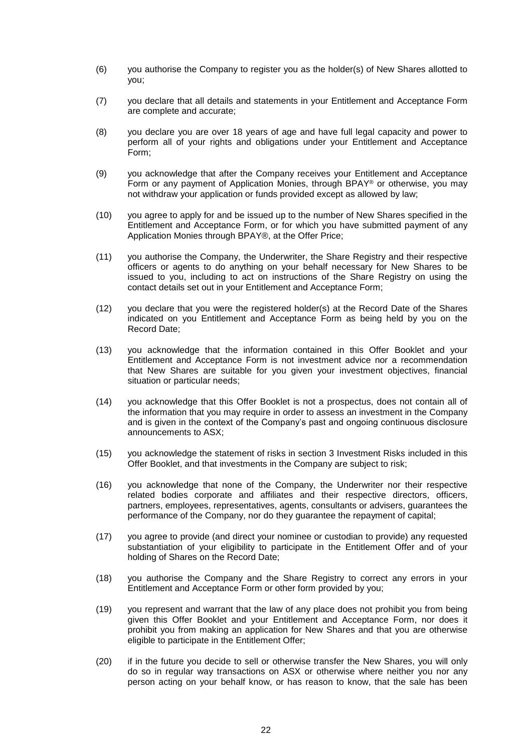- (6) you authorise the Company to register you as the holder(s) of New Shares allotted to you;
- (7) you declare that all details and statements in your Entitlement and Acceptance Form are complete and accurate;
- (8) you declare you are over 18 years of age and have full legal capacity and power to perform all of your rights and obligations under your Entitlement and Acceptance Form;
- (9) you acknowledge that after the Company receives your Entitlement and Acceptance Form or any payment of Application Monies, through BPAY® or otherwise, you may not withdraw your application or funds provided except as allowed by law;
- (10) you agree to apply for and be issued up to the number of New Shares specified in the Entitlement and Acceptance Form, or for which you have submitted payment of any Application Monies through BPAY®, at the Offer Price;
- (11) you authorise the Company, the Underwriter, the Share Registry and their respective officers or agents to do anything on your behalf necessary for New Shares to be issued to you, including to act on instructions of the Share Registry on using the contact details set out in your Entitlement and Acceptance Form;
- (12) you declare that you were the registered holder(s) at the Record Date of the Shares indicated on you Entitlement and Acceptance Form as being held by you on the Record Date;
- (13) you acknowledge that the information contained in this Offer Booklet and your Entitlement and Acceptance Form is not investment advice nor a recommendation that New Shares are suitable for you given your investment objectives, financial situation or particular needs;
- (14) you acknowledge that this Offer Booklet is not a prospectus, does not contain all of the information that you may require in order to assess an investment in the Company and is given in the context of the Company's past and ongoing continuous disclosure announcements to ASX;
- (15) you acknowledge the statement of risks in section [3](#page-17-0) Investment Risks included in this Offer Booklet, and that investments in the Company are subject to risk;
- (16) you acknowledge that none of the Company, the Underwriter nor their respective related bodies corporate and affiliates and their respective directors, officers, partners, employees, representatives, agents, consultants or advisers, guarantees the performance of the Company, nor do they guarantee the repayment of capital;
- (17) you agree to provide (and direct your nominee or custodian to provide) any requested substantiation of your eligibility to participate in the Entitlement Offer and of your holding of Shares on the Record Date;
- (18) you authorise the Company and the Share Registry to correct any errors in your Entitlement and Acceptance Form or other form provided by you;
- (19) you represent and warrant that the law of any place does not prohibit you from being given this Offer Booklet and your Entitlement and Acceptance Form, nor does it prohibit you from making an application for New Shares and that you are otherwise eligible to participate in the Entitlement Offer;
- (20) if in the future you decide to sell or otherwise transfer the New Shares, you will only do so in regular way transactions on ASX or otherwise where neither you nor any person acting on your behalf know, or has reason to know, that the sale has been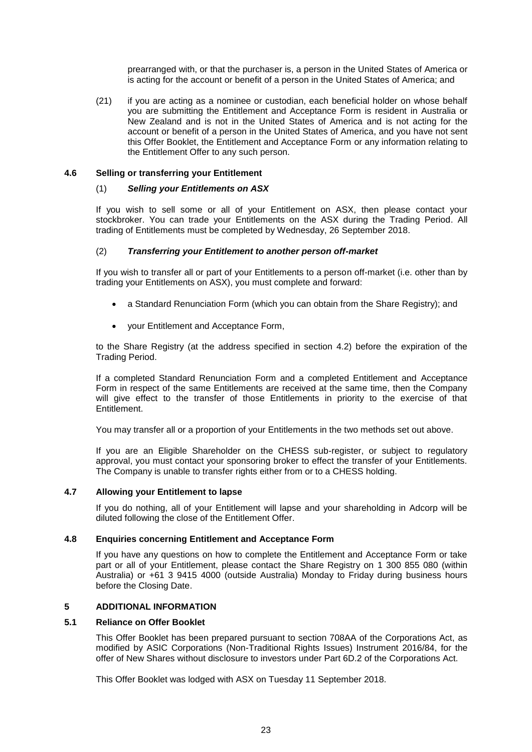prearranged with, or that the purchaser is, a person in the United States of America or is acting for the account or benefit of a person in the United States of America; and

(21) if you are acting as a nominee or custodian, each beneficial holder on whose behalf you are submitting the Entitlement and Acceptance Form is resident in Australia or New Zealand and is not in the United States of America and is not acting for the account or benefit of a person in the United States of America, and you have not sent this Offer Booklet, the Entitlement and Acceptance Form or any information relating to the Entitlement Offer to any such person.

# <span id="page-23-1"></span><span id="page-23-0"></span>**4.6 Selling or transferring your Entitlement**

## (1) *Selling your Entitlements on ASX*

If you wish to sell some or all of your Entitlement on ASX, then please contact your stockbroker. You can trade your Entitlements on the ASX during the Trading Period. All trading of Entitlements must be completed by Wednesday, 26 September 2018.

# <span id="page-23-2"></span>(2) *Transferring your Entitlement to another person off-market*

If you wish to transfer all or part of your Entitlements to a person off-market (i.e. other than by trading your Entitlements on ASX), you must complete and forward:

- a Standard Renunciation Form (which you can obtain from the Share Registry); and
- your Entitlement and Acceptance Form,

to the Share Registry (at the address specified in section [4.2\)](#page-19-1) before the expiration of the Trading Period.

If a completed Standard Renunciation Form and a completed Entitlement and Acceptance Form in respect of the same Entitlements are received at the same time, then the Company will give effect to the transfer of those Entitlements in priority to the exercise of that Entitlement.

You may transfer all or a proportion of your Entitlements in the two methods set out above.

If you are an Eligible Shareholder on the CHESS sub-register, or subject to regulatory approval, you must contact your sponsoring broker to effect the transfer of your Entitlements. The Company is unable to transfer rights either from or to a CHESS holding.

# <span id="page-23-3"></span>**4.7 Allowing your Entitlement to lapse**

If you do nothing, all of your Entitlement will lapse and your shareholding in Adcorp will be diluted following the close of the Entitlement Offer.

# **4.8 Enquiries concerning Entitlement and Acceptance Form**

If you have any questions on how to complete the Entitlement and Acceptance Form or take part or all of your Entitlement, please contact the Share Registry on 1 300 855 080 (within Australia) or +61 3 9415 4000 (outside Australia) Monday to Friday during business hours before the Closing Date.

# **5 ADDITIONAL INFORMATION**

# **5.1 Reliance on Offer Booklet**

This Offer Booklet has been prepared pursuant to section 708AA of the Corporations Act, as modified by ASIC Corporations (Non-Traditional Rights Issues) Instrument 2016/84, for the offer of New Shares without disclosure to investors under Part 6D.2 of the Corporations Act.

This Offer Booklet was lodged with ASX on Tuesday 11 September 2018.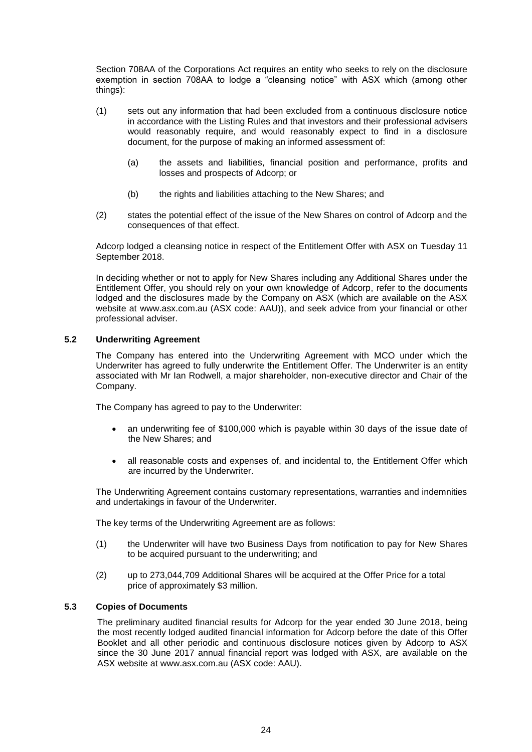Section 708AA of the Corporations Act requires an entity who seeks to rely on the disclosure exemption in section 708AA to lodge a "cleansing notice" with ASX which (among other things):

- (1) sets out any information that had been excluded from a continuous disclosure notice in accordance with the Listing Rules and that investors and their professional advisers would reasonably require, and would reasonably expect to find in a disclosure document, for the purpose of making an informed assessment of:
	- (a) the assets and liabilities, financial position and performance, profits and losses and prospects of Adcorp; or
	- (b) the rights and liabilities attaching to the New Shares; and
- (2) states the potential effect of the issue of the New Shares on control of Adcorp and the consequences of that effect.

Adcorp lodged a cleansing notice in respect of the Entitlement Offer with ASX on Tuesday 11 September 2018.

In deciding whether or not to apply for New Shares including any Additional Shares under the Entitlement Offer, you should rely on your own knowledge of Adcorp, refer to the documents lodged and the disclosures made by the Company on ASX (which are available on the ASX website at www[.asx.com.au](http://asx.com.au/) (ASX code: AAU)), and seek advice from your financial or other professional adviser.

# <span id="page-24-0"></span>**5.2 Underwriting Agreement**

The Company has entered into the Underwriting Agreement with MCO under which the Underwriter has agreed to fully underwrite the Entitlement Offer. The Underwriter is an entity associated with Mr Ian Rodwell, a major shareholder, non-executive director and Chair of the Company.

The Company has agreed to pay to the Underwriter:

- an underwriting fee of \$100,000 which is payable within 30 days of the issue date of the New Shares; and
- all reasonable costs and expenses of, and incidental to, the Entitlement Offer which are incurred by the Underwriter.

The Underwriting Agreement contains customary representations, warranties and indemnities and undertakings in favour of the Underwriter.

The key terms of the Underwriting Agreement are as follows:

- (1) the Underwriter will have two Business Days from notification to pay for New Shares to be acquired pursuant to the underwriting; and
- (2) up to 273,044,709 Additional Shares will be acquired at the Offer Price for a total price of approximately \$3 million.

# **5.3 Copies of Documents**

The preliminary audited financial results for Adcorp for the year ended 30 June 2018, being the most recently lodged audited financial information for Adcorp before the date of this Offer Booklet and all other periodic and continuous disclosure notices given by Adcorp to ASX since the 30 June 2017 annual financial report was lodged with ASX, are available on the ASX website at www.asx.com.au (ASX code: AAU).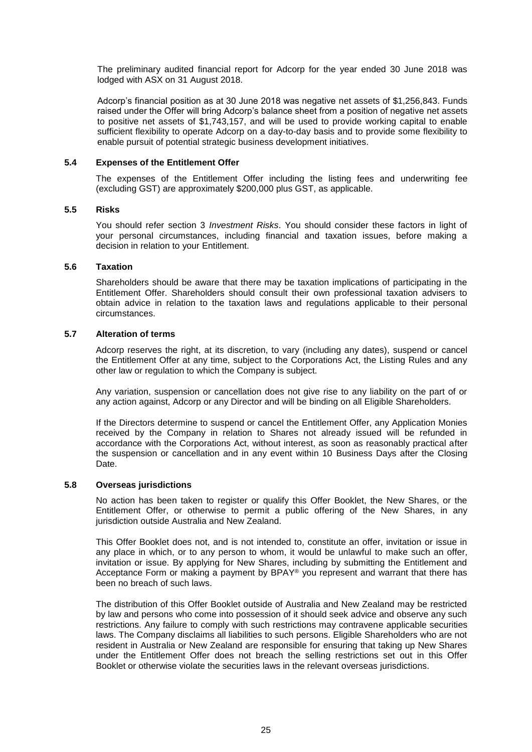The preliminary audited financial report for Adcorp for the year ended 30 June 2018 was lodged with ASX on 31 August 2018.

Adcorp's financial position as at 30 June 2018 was negative net assets of \$1,256,843. Funds raised under the Offer will bring Adcorp's balance sheet from a position of negative net assets to positive net assets of \$1,743,157, and will be used to provide working capital to enable sufficient flexibility to operate Adcorp on a day-to-day basis and to provide some flexibility to enable pursuit of potential strategic business development initiatives.

# **5.4 Expenses of the Entitlement Offer**

The expenses of the Entitlement Offer including the listing fees and underwriting fee (excluding GST) are approximately \$200,000 plus GST, as applicable.

# **5.5 Risks**

You should refer section [3](#page-17-0) *Investment Risks*. You should consider these factors in light of your personal circumstances, including financial and taxation issues, before making a decision in relation to your Entitlement.

# **5.6 Taxation**

Shareholders should be aware that there may be taxation implications of participating in the Entitlement Offer. Shareholders should consult their own professional taxation advisers to obtain advice in relation to the taxation laws and regulations applicable to their personal circumstances.

# **5.7 Alteration of terms**

Adcorp reserves the right, at its discretion, to vary (including any dates), suspend or cancel the Entitlement Offer at any time, subject to the Corporations Act, the Listing Rules and any other law or regulation to which the Company is subject.

Any variation, suspension or cancellation does not give rise to any liability on the part of or any action against, Adcorp or any Director and will be binding on all Eligible Shareholders.

If the Directors determine to suspend or cancel the Entitlement Offer, any Application Monies received by the Company in relation to Shares not already issued will be refunded in accordance with the Corporations Act, without interest, as soon as reasonably practical after the suspension or cancellation and in any event within 10 Business Days after the Closing Date.

# **5.8 Overseas jurisdictions**

No action has been taken to register or qualify this Offer Booklet, the New Shares, or the Entitlement Offer, or otherwise to permit a public offering of the New Shares, in any jurisdiction outside Australia and New Zealand.

This Offer Booklet does not, and is not intended to, constitute an offer, invitation or issue in any place in which, or to any person to whom, it would be unlawful to make such an offer, invitation or issue. By applying for New Shares, including by submitting the Entitlement and Acceptance Form or making a payment by  $BPAY^{\circledast}$  you represent and warrant that there has been no breach of such laws.

The distribution of this Offer Booklet outside of Australia and New Zealand may be restricted by law and persons who come into possession of it should seek advice and observe any such restrictions. Any failure to comply with such restrictions may contravene applicable securities laws. The Company disclaims all liabilities to such persons. Eligible Shareholders who are not resident in Australia or New Zealand are responsible for ensuring that taking up New Shares under the Entitlement Offer does not breach the selling restrictions set out in this Offer Booklet or otherwise violate the securities laws in the relevant overseas jurisdictions.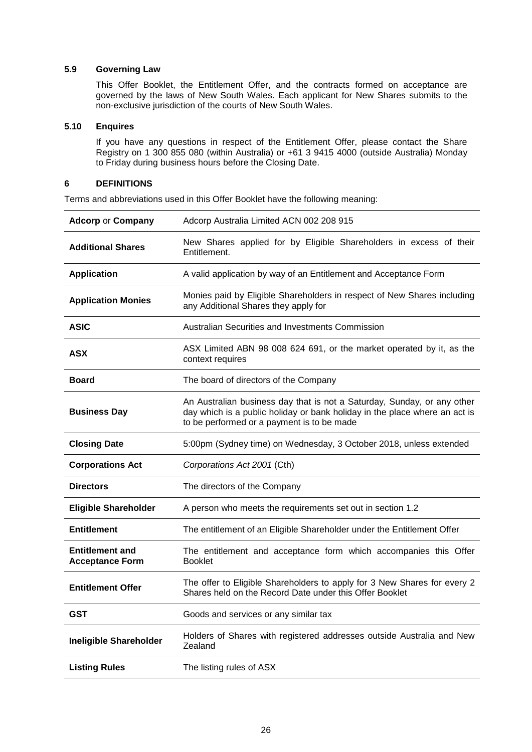# **5.9 Governing Law**

This Offer Booklet, the Entitlement Offer, and the contracts formed on acceptance are governed by the laws of New South Wales. Each applicant for New Shares submits to the non-exclusive jurisdiction of the courts of New South Wales.

# **5.10 Enquires**

If you have any questions in respect of the Entitlement Offer, please contact the Share Registry on 1 300 855 080 (within Australia) or +61 3 9415 4000 (outside Australia) Monday to Friday during business hours before the Closing Date.

# <span id="page-26-0"></span>**6 DEFINITIONS**

Terms and abbreviations used in this Offer Booklet have the following meaning:

| <b>Adcorp or Company</b>                         | Adcorp Australia Limited ACN 002 208 915                                                                                                                                                            |  |  |  |
|--------------------------------------------------|-----------------------------------------------------------------------------------------------------------------------------------------------------------------------------------------------------|--|--|--|
| <b>Additional Shares</b>                         | New Shares applied for by Eligible Shareholders in excess of their<br>Entitlement.                                                                                                                  |  |  |  |
| <b>Application</b>                               | A valid application by way of an Entitlement and Acceptance Form                                                                                                                                    |  |  |  |
| <b>Application Monies</b>                        | Monies paid by Eligible Shareholders in respect of New Shares including<br>any Additional Shares they apply for                                                                                     |  |  |  |
| <b>ASIC</b>                                      | Australian Securities and Investments Commission                                                                                                                                                    |  |  |  |
| <b>ASX</b>                                       | ASX Limited ABN 98 008 624 691, or the market operated by it, as the<br>context requires                                                                                                            |  |  |  |
| Board                                            | The board of directors of the Company                                                                                                                                                               |  |  |  |
| <b>Business Day</b>                              | An Australian business day that is not a Saturday, Sunday, or any other<br>day which is a public holiday or bank holiday in the place where an act is<br>to be performed or a payment is to be made |  |  |  |
| <b>Closing Date</b>                              | 5:00pm (Sydney time) on Wednesday, 3 October 2018, unless extended                                                                                                                                  |  |  |  |
| <b>Corporations Act</b>                          | Corporations Act 2001 (Cth)                                                                                                                                                                         |  |  |  |
| <b>Directors</b>                                 | The directors of the Company                                                                                                                                                                        |  |  |  |
| <b>Eligible Shareholder</b>                      | A person who meets the requirements set out in section 1.2                                                                                                                                          |  |  |  |
| <b>Entitlement</b>                               | The entitlement of an Eligible Shareholder under the Entitlement Offer                                                                                                                              |  |  |  |
| <b>Entitlement and</b><br><b>Acceptance Form</b> | The entitlement and acceptance form which accompanies this Offer<br><b>Booklet</b>                                                                                                                  |  |  |  |
| <b>Entitlement Offer</b>                         | The offer to Eligible Shareholders to apply for 3 New Shares for every 2<br>Shares held on the Record Date under this Offer Booklet                                                                 |  |  |  |
| <b>GST</b>                                       | Goods and services or any similar tax                                                                                                                                                               |  |  |  |
| <b>Ineligible Shareholder</b>                    | Holders of Shares with registered addresses outside Australia and New<br>Zealand                                                                                                                    |  |  |  |
| <b>Listing Rules</b>                             | The listing rules of ASX                                                                                                                                                                            |  |  |  |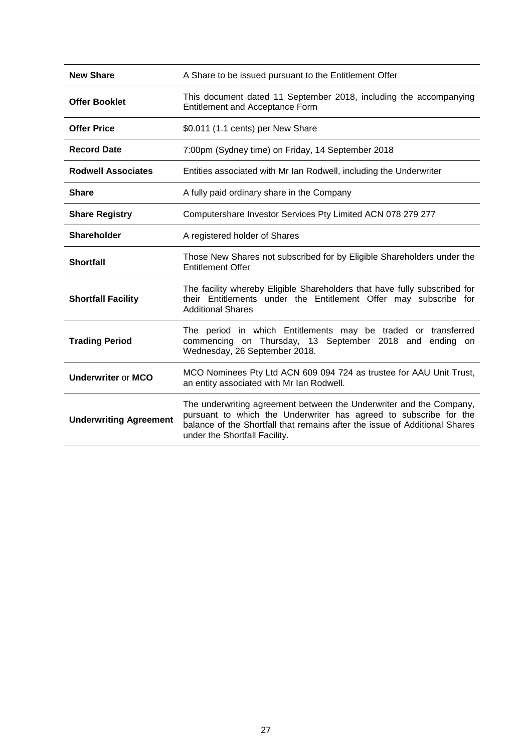| <b>New Share</b>              | A Share to be issued pursuant to the Entitlement Offer                                                                                                                                                                                                  |
|-------------------------------|---------------------------------------------------------------------------------------------------------------------------------------------------------------------------------------------------------------------------------------------------------|
| <b>Offer Booklet</b>          | This document dated 11 September 2018, including the accompanying<br><b>Entitlement and Acceptance Form</b>                                                                                                                                             |
| <b>Offer Price</b>            | \$0.011 (1.1 cents) per New Share                                                                                                                                                                                                                       |
| <b>Record Date</b>            | 7:00pm (Sydney time) on Friday, 14 September 2018                                                                                                                                                                                                       |
| <b>Rodwell Associates</b>     | Entities associated with Mr Ian Rodwell, including the Underwriter                                                                                                                                                                                      |
| <b>Share</b>                  | A fully paid ordinary share in the Company                                                                                                                                                                                                              |
| <b>Share Registry</b>         | Computershare Investor Services Pty Limited ACN 078 279 277                                                                                                                                                                                             |
| <b>Shareholder</b>            | A registered holder of Shares                                                                                                                                                                                                                           |
| <b>Shortfall</b>              | Those New Shares not subscribed for by Eligible Shareholders under the<br><b>Entitlement Offer</b>                                                                                                                                                      |
| <b>Shortfall Facility</b>     | The facility whereby Eligible Shareholders that have fully subscribed for<br>their Entitlements under the Entitlement Offer may subscribe for<br><b>Additional Shares</b>                                                                               |
| <b>Trading Period</b>         | The period in which Entitlements may be traded or transferred<br>commencing on Thursday, 13 September 2018 and<br>ending on<br>Wednesday, 26 September 2018.                                                                                            |
| <b>Underwriter or MCO</b>     | MCO Nominees Pty Ltd ACN 609 094 724 as trustee for AAU Unit Trust,<br>an entity associated with Mr Ian Rodwell.                                                                                                                                        |
| <b>Underwriting Agreement</b> | The underwriting agreement between the Underwriter and the Company,<br>pursuant to which the Underwriter has agreed to subscribe for the<br>balance of the Shortfall that remains after the issue of Additional Shares<br>under the Shortfall Facility. |